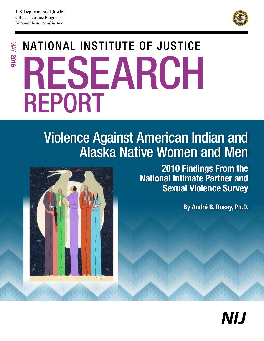MAY

2016



# RESEARCH REPORT NATIONAL INSTITUTE OF JUSTICE

### Violence Against American Indian and Alaska Native Women and Men



2010 Findings From the National Intimate Partner and Sexual Violence Survey

By André B. Rosay, Ph.D.

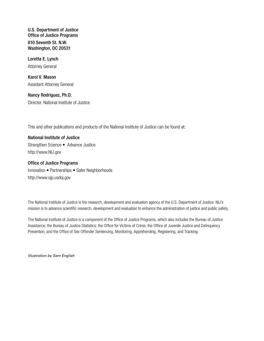U.S. Department of Justice Office of Justice Programs 810 Seventh St. N.W. Washington, DC 20531

Loretta E. Lynch Attorney General

Karol V. Mason Assistant Attorney General

Nancy Rodriguez, Ph.D. Director, National Institute of Justice

This and other publications and products of the National Institute of Justice can be found at:

National Institute of Justice Strengthen Science • Advance Justice http://www.NIJ.gov

Office of Justice Programs Innovation • Partnerships • Safer Neighborhoods http://www.ojp.usdoj.gov

The National Institute of Justice is the research, development and evaluation agency of the U.S. Department of Justice. NIJ's mission is to advance scientific research, development and evaluation to enhance the administration of justice and public safety.

The National Institute of Justice is a component of the Office of Justice Programs, which also includes the Bureau of Justice Assistance; the Bureau of Justice Statistics; the Office for Victims of Crime; the Office of Juvenile Justice and Delinquency Prevention; and the Office of Sex Offender Sentencing, Monitoring, Apprehending, Registering, and Tracking.

*Illustration by Sam English*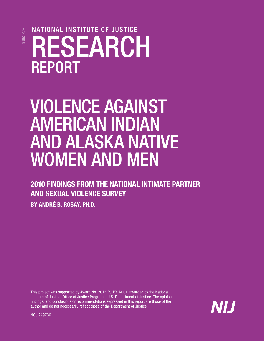**NAY** 2016

### RESEARCH NATIONAL INSTITUTE OF JUSTICE REPORT

# VIOLENCE AGAINST AMERICAN INDIAN AND ALASKA NATIVE WOMEN AND MEN

2010 FINDINGS FROM THE NATIONAL INTIMATE PARTNER AND SEXUAL VIOLENCE SURVEY

BY ANDRÉ B. ROSAY, PH.D.

This project was supported by Award No. 2012 PJ BX K001, awarded by the National Institute of Justice, Office of Justice Programs, U.S. Department of Justice. The opinions, findings, and conclusions or recommendations expressed in this report are those of the author and do not necessarily reflect those of the Department of Justice.

NIJ

NCJ 249736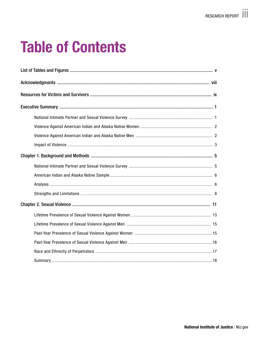### **Table of Contents**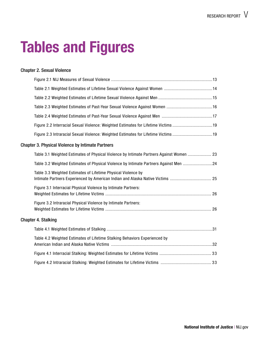## Tables and Figures

#### Chapter 2. Sexual Violence

| Figure 2.2 Interracial Sexual Violence: Weighted Estimates for Lifetime Victims19                                                               |
|-------------------------------------------------------------------------------------------------------------------------------------------------|
| Figure 2.3 Intraracial Sexual Violence: Weighted Estimates for Lifetime Victims19                                                               |
| <b>Chapter 3. Physical Violence by Intimate Partners</b>                                                                                        |
| Table 3.1 Weighted Estimates of Physical Violence by Intimate Partners Against Women  23                                                        |
| Table 3.2 Weighted Estimates of Physical Violence by Intimate Partners Against Men 24                                                           |
| Table 3.3 Weighted Estimates of Lifetime Physical Violence by<br>Intimate Partners Experienced by American Indian and Alaska Native Victims  25 |
| Figure 3.1 Interracial Physical Violence by Intimate Partners:                                                                                  |
| Figure 3.2 Intraracial Physical Violence by Intimate Partners:                                                                                  |
| <b>Chapter 4. Stalking</b>                                                                                                                      |
|                                                                                                                                                 |
| Table 4.2 Weighted Estimates of Lifetime Stalking Behaviors Experienced by                                                                      |
|                                                                                                                                                 |
|                                                                                                                                                 |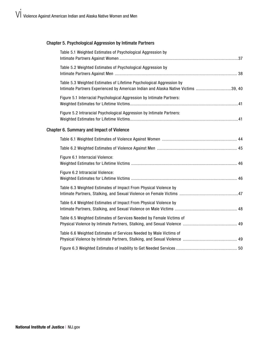#### Chapter 5. Psychological Aggression by Intimate Partners

| Table 5.1 Weighted Estimates of Psychological Aggression by                                                                                               |
|-----------------------------------------------------------------------------------------------------------------------------------------------------------|
| Table 5.2 Weighted Estimates of Psychological Aggression by                                                                                               |
| Table 5.3 Weighted Estimates of Lifetime Psychological Aggression by<br>Intimate Partners Experienced by American Indian and Alaska Native Victims 39, 40 |
| Figure 5.1 Interracial Psychological Aggression by Intimate Partners:                                                                                     |
| Figure 5.2 Intraracial Psychological Aggression by Intimate Partners:                                                                                     |
| <b>Chapter 6. Summary and Impact of Violence</b>                                                                                                          |
|                                                                                                                                                           |
|                                                                                                                                                           |
| Figure 6.1 Interracial Violence:                                                                                                                          |
| Figure 6.2 Intraracial Violence:                                                                                                                          |
| Table 6.3 Weighted Estimates of Impact From Physical Violence by                                                                                          |
| Table 6.4 Weighted Estimates of Impact From Physical Violence by                                                                                          |
| Table 6.5 Weighted Estimates of Services Needed by Female Victims of                                                                                      |
| Table 6.6 Weighted Estimates of Services Needed by Male Victims of                                                                                        |
|                                                                                                                                                           |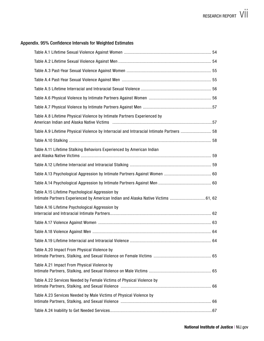#### Appendix. 95% Confidence Intervals for Weighted Estimates

| Table A.8 Lifetime Physical Violence by Intimate Partners Experienced by                                                             |  |
|--------------------------------------------------------------------------------------------------------------------------------------|--|
| Table A.9 Lifetime Physical Violence by Interracial and Intraracial Intimate Partners  58                                            |  |
|                                                                                                                                      |  |
| Table A.11 Lifetime Stalking Behaviors Experienced by American Indian                                                                |  |
|                                                                                                                                      |  |
|                                                                                                                                      |  |
|                                                                                                                                      |  |
| Table A.15 Lifetime Psychological Aggression by<br>Intimate Partners Experienced by American Indian and Alaska Native Victims 61, 62 |  |
| Table A.16 Lifetime Psychological Aggression by                                                                                      |  |
|                                                                                                                                      |  |
|                                                                                                                                      |  |
|                                                                                                                                      |  |
| Table A.20 Impact From Physical Violence by                                                                                          |  |
| Table A.21 Impact From Physical Violence by                                                                                          |  |
| Table A.22 Services Needed by Female Victims of Physical Violence by                                                                 |  |
| Table A.23 Services Needed by Male Victims of Physical Violence by                                                                   |  |
|                                                                                                                                      |  |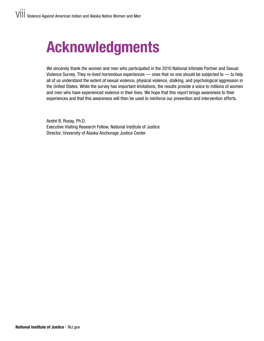# Acknowledgments

We sincerely thank the women and men who participated in the 2010 National Intimate Partner and Sexual Violence Survey. They re-lived horrendous experiences — ones that no one should be subjected to — to help all of us understand the extent of sexual violence, physical violence, stalking, and psychological aggression in the United States. While the survey has important limitations, the results provide a voice to millions of women and men who have experienced violence in their lives. We hope that this report brings awareness to their experiences and that this awareness will then be used to reinforce our prevention and intervention efforts.

André B. Rosay, Ph.D. Executive Visiting Research Fellow, National Institute of Justice Director, University of Alaska Anchorage Justice Center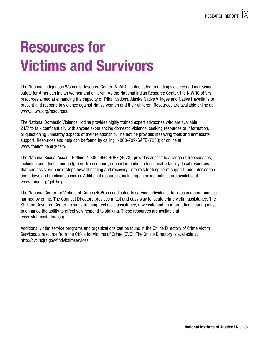### Resources for Victims and Survivors

The National Indigenous Women's Resource Center (NIWRC) is dedicated to ending violence and increasing safety for American Indian women and children. As the National Indian Resource Center, the NIWRC offers resources aimed at enhancing the capacity of Tribal Nations, Alaska Native Villages and Native Hawaiians to prevent and respond to violence against Native women and their children. Resources are available online at www.niwrc.org/resources.

The National Domestic Violence Hotline provides highly trained expert advocates who are available 24/7 to talk confidentially with anyone experiencing domestic violence, seeking resources or information, or questioning unhealthy aspects of their relationship. The hotline provides lifesaving tools and immediate support. Resources and help can be found by calling 1-800-799-SAFE (7233) or online at www.thehotline.org/help.

The National Sexual Assault Hotline, 1-800-656-HOPE (4673), provides access to a range of free services, including confidential and judgment-free support, support in finding a local health facility, local resources that can assist with next steps toward healing and recovery, referrals for long-term support, and information about laws and medical concerns. Additional resources, including an online hotline, are available at www.rainn.org/get-help.

The National Center for Victims of Crime (NCVC) is dedicated to serving individuals, families and communities harmed by crime. The Connect Directory provides a fast and easy way to locate crime victim assistance. The Stalking Resource Center provides training, technical assistance, a website and an information clearinghouse to enhance the ability to effectively respond to stalking. These resources are available at www.victimsofcrime.org.

Additional victim service programs and organizations can be found in the Online Directory of Crime Victim Services, a resource from the Office for Victims of Crime (OVC). The Online Directory is available at http://ovc.ncjrs.gov/findvictimservices.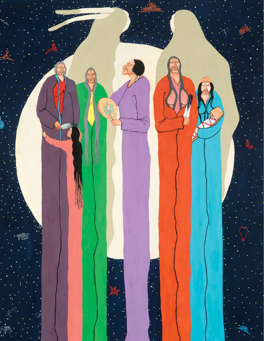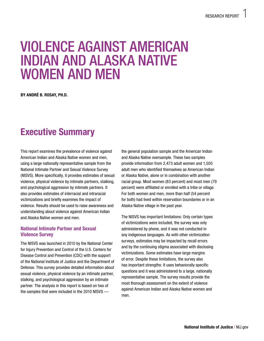### VIOLENCE AGAINST AMERICAN INDIAN AND ALASKA NATIVE WOMEN AND MEN

BY ANDRÉ B. ROSAY, PH.D.

### Executive Summary

This report examines the prevalence of violence against American Indian and Alaska Native women and men, using a large nationally representative sample from the National Intimate Partner and Sexual Violence Survey (NISVS). More specifically, it provides estimates of sexual violence, physical violence by intimate partners, stalking, and psychological aggression by intimate partners. It also provides estimates of interracial and intraracial victimizations and briefly examines the impact of violence. Results should be used to raise awareness and understanding about violence against American Indian and Alaska Native women and men.

#### National Intimate Partner and Sexual Violence Survey

The NISVS was launched in 2010 by the National Center for Injury Prevention and Control of the U.S. Centers for Disease Control and Prevention (CDC) with the support of the National Institute of Justice and the Department of Defense. This survey provides detailed information about sexual violence, physical violence by an intimate partner, stalking, and psychological aggression by an intimate partner. The analysis in this report is based on two of the samples that were included in the 2010 NISVS —

the general population sample and the American Indian and Alaska Native oversample. These two samples provide information from 2,473 adult women and 1,505 adult men who identified themselves as American Indian or Alaska Native, alone or in combination with another racial group. Most women (83 percent) and most men (79 percent) were affiliated or enrolled with a tribe or village. For both women and men, more than half (54 percent for both) had lived within reservation boundaries or in an Alaska Native village in the past year.

The NISVS has important limitations: Only certain types of victimizations were included, the survey was only administered by phone, and it was not conducted in any indigenous languages. As with other victimization surveys, estimates may be impacted by recall errors and by the continuing stigma associated with disclosing victimizations. Some estimates have large margins of error. Despite these limitations, the survey also has important strengths: It uses behaviorally specific questions and it was administered to a large, nationally representative sample. The survey results provide the most thorough assessment on the extent of violence against American Indian and Alaska Native women and men.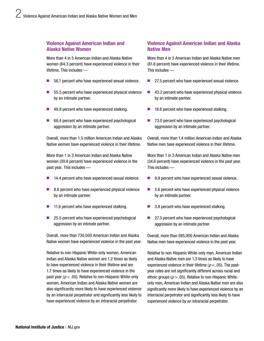#### Violence Against American Indian and Alaska Native Women

More than 4 in 5 American Indian and Alaska Native women (84.3 percent) have experienced violence in their lifetime. This includes —

- 56.1 percent who have experienced sexual violence.
- 55.5 percent who have experienced physical violence by an intimate partner.
- 48.8 percent who have experienced stalking.
- 66.4 percent who have experienced psychological aggression by an intimate partner.

Overall, more than 1.5 million American Indian and Alaska Native women have experienced violence in their lifetime.

More than 1 in 3 American Indian and Alaska Native women (39.8 percent) have experienced violence in the past year. This includes —

- 14.4 percent who have experienced sexual violence.
- 8.6 percent who have experienced physical violence by an intimate partner.
- 11.6 percent who have experienced stalking.
- 25.5 percent who have experienced psychological aggression by an intimate partner.

Overall, more than 730,000 American Indian and Alaska Native women have experienced violence in the past year.

Relative to non-Hispanic White-only women, American Indian and Alaska Native women are 1.2 times as likely to have experienced violence in their lifetime and are 1.7 times as likely to have experienced violence in the past year (*p* < .05). Relative to non-Hispanic White-only women, American Indian and Alaska Native women are also significantly more likely to have experienced violence by an interracial perpetrator and significantly less likely to have experienced violence by an intraracial perpetrator.

#### Violence Against American Indian and Alaska Native Men

More than 4 in 5 American Indian and Alaska Native men (81.6 percent) have experienced violence in their lifetime. This includes —

- 27.5 percent who have experienced sexual violence.
- 43.2 percent who have experienced physical violence by an intimate partner.
- 18.6 percent who have experienced stalking.
- 73.0 percent who have experienced psychological aggression by an intimate partner.

Overall, more than 1.4 million American Indian and Alaska Native men have experienced violence in their lifetime.

More than 1 in 3 American Indian and Alaska Native men (34.6 percent) have experienced violence in the past year. This includes —

- 9.9 percent who have experienced sexual violence.
- 5.6 percent who have experienced physical violence by an intimate partner.
- 3.8 percent who have experienced stalking.
- 27.3 percent who have experienced psychological aggression by an intimate partner.

Overall, more than 595,000 American Indian and Alaska Native men have experienced violence in the past year.

Relative to non-Hispanic White-only men, American Indian and Alaska Native men are 1.3 times as likely to have experienced violence in their lifetime (*p* < .05). The pastyear rates are not significantly different across racial and ethnic groups ( $p > .05$ ). Relative to non-Hispanic Whiteonly men, American Indian and Alaska Native men are also significantly more likely to have experienced violence by an interracial perpetrator and significantly less likely to have experienced violence by an intraracial perpetrator.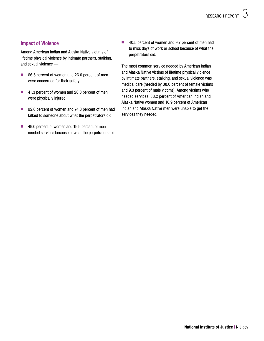#### Impact of Violence

Among American Indian and Alaska Native victims of lifetime physical violence by intimate partners, stalking, and sexual violence —

- 66.5 percent of women and 26.0 percent of men were concerned for their safety.
- 41.3 percent of women and 20.3 percent of men were physically injured.
- 92.6 percent of women and 74.3 percent of men had talked to someone about what the perpetrators did.
- 49.0 percent of women and 19.9 percent of men needed services because of what the perpetrators did.

■ 40.5 percent of women and 9.7 percent of men had to miss days of work or school because of what the perpetrators did.

The most common service needed by American Indian and Alaska Native victims of lifetime physical violence by intimate partners, stalking, and sexual violence was medical care (needed by 38.0 percent of female victims and 9.3 percent of male victims). Among victims who needed services, 38.2 percent of American Indian and Alaska Native women and 16.9 percent of American Indian and Alaska Native men were unable to get the services they needed.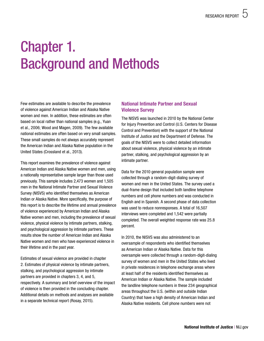### Chapter 1. Background and Methods

Few estimates are available to describe the prevalence of violence against American Indian and Alaska Native women and men. In addition, these estimates are often based on local rather than national samples (e.g., Yuan et al., 2006; Wood and Magen, 2009). The few available national estimates are often based on very small samples. These small samples do not always accurately represent the American Indian and Alaska Native population in the United States (Crossland et al., 2013).

This report examines the prevalence of violence against American Indian and Alaska Native women and men, using a nationally representative sample larger than those used previously. This sample includes 2,473 women and 1,505 men in the National Intimate Partner and Sexual Violence Survey (NISVS) who identified themselves as American Indian or Alaska Native. More specifically, the purpose of this report is to describe the lifetime and annual prevalence of violence experienced by American Indian and Alaska Native women and men, including the prevalence of sexual violence, physical violence by intimate partners, stalking, and psychological aggression by intimate partners. These results show the number of American Indian and Alaska Native women and men who have experienced violence in their lifetime and in the past year.

Estimates of sexual violence are provided in chapter 2. Estimates of physical violence by intimate partners, stalking, and psychological aggression by intimate partners are provided in chapters 3, 4, and 5, respectively. A summary and brief overview of the impact of violence is then provided in the concluding chapter. Additional details on methods and analyses are available in a separate technical report (Rosay, 2015).

#### National Intimate Partner and Sexual Violence Survey

The NISVS was launched in 2010 by the National Center for Injury Prevention and Control (U.S. Centers for Disease Control and Prevention) with the support of the National Institute of Justice and the Department of Defense. The goals of the NISVS were to collect detailed information about sexual violence, physical violence by an intimate partner, stalking, and psychological aggression by an intimate partner.

Data for the 2010 general population sample were collected through a random-digit-dialing survey of women and men in the United States. The survey used a dual-frame design that included both landline telephone numbers and cell phone numbers and was conducted in English and in Spanish. A second phase of data collection was used to reduce nonresponses. A total of 16,507 interviews were completed and 1,542 were partially completed. The overall weighted response rate was 25.8 percent.

In 2010, the NISVS was also administered to an oversample of respondents who identified themselves as American Indian or Alaska Native. Data for this oversample were collected through a random-digit-dialing survey of women and men in the United States who lived in private residences in telephone exchange areas where at least half of the residents identified themselves as American Indian or Alaska Native. The sample included the landline telephone numbers in these 234 geographical areas throughout the U.S. (within and outside Indian Country) that have a high density of American Indian and Alaska Native residents. Cell phone numbers were not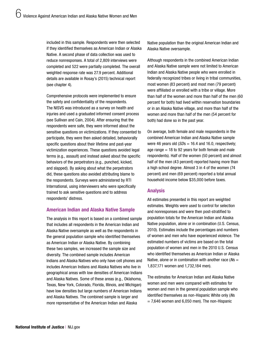included in this sample. Respondents were then selected if they identified themselves as American Indian or Alaska Native. A second phase of data collection was used to reduce nonresponses. A total of 2,809 interviews were completed and 522 were partially completed. The overall weighted response rate was 27.9 percent. Additional details are available in Rosay's (2015) technical report (see chapter 4).

Comprehensive protocols were implemented to ensure the safety and confidentiality of the respondents. The NISVS was introduced as a survey on health and injuries and used a graduated informed consent process (see Sullivan and Cain, 2004). After ensuring that the respondents were safe, they were informed about the sensitive questions on victimizations. If they consented to participate, they were then asked detailed, behaviorally specific questions about their lifetime and past-year victimization experiences. These questions avoided legal terms (e.g., assault) and instead asked about the specific behaviors of the perpetrators (e.g., punched, kicked, and slapped). By asking about what the perpetrators did, these questions also avoided attributing blame to the respondents. Surveys were administered by RTI International, using interviewers who were specifically trained to ask sensitive questions and to address respondents' distress.

#### American Indian and Alaska Native Sample

The analysis in this report is based on a combined sample that includes all respondents in the American Indian and Alaska Native oversample as well as the respondents in the general population sample who identified themselves as American Indian or Alaska Native. By combining these two samples, we increased the sample size and diversity. The combined sample includes American Indians and Alaska Natives who only have cell phones and includes American Indians and Alaska Natives who live in geographical areas with low densities of American Indians and Alaska Natives. Some of these areas (e.g., Oklahoma, Texas, New York, Colorado, Florida, Illinois, and Michigan) have low densities but large numbers of American Indians and Alaska Natives. The combined sample is larger and more representative of the American Indian and Alaska

Native population than the original American Indian and Alaska Native oversample.

Although respondents in the combined American Indian and Alaska Native sample were not limited to American Indian and Alaska Native people who were enrolled in federally recognized tribes or living in tribal communities, most women (83 percent) and most men (79 percent) were affiliated or enrolled with a tribe or village. More than half of the women and more than half of the men (60 percent for both) had lived within reservation boundaries or in an Alaska Native village, and more than half of the women and more than half of the men (54 percent for both) had done so in the past year.

On average, both female and male respondents in the combined American Indian and Alaska Native sample were 46 years old (*SD*s = 16.4 and 16.0, respectively; age range  $= 18$  to 92 years for both female and male respondents). Half of the women (50 percent) and almost half of the men (43 percent) reported having more than a high school degree. Almost 3 in 4 of the women (74 percent) and men (69 percent) reported a total annual household income below \$35,000 before taxes.

#### Analysis

All estimates presented in this report are weighted estimates. Weights were used to control for selection and nonresponses and were then post-stratified to population totals for the American Indian and Alaska Native population, alone or in combination (U.S. Census, 2010). Estimates include the percentages and numbers of women and men who have experienced violence. The estimated numbers of victims are based on the total population of women and men in the 2010 U.S. Census who identified themselves as American Indian or Alaska Native, alone or in combination with another race (*N*s = 1,837,171 women and 1,732,184 men).

The estimates for American Indian and Alaska Native women and men were compared with estimates for women and men in the general population sample who identified themselves as non-Hispanic White only (*N*s  $= 7,646$  women and 6,050 men). The non-Hispanic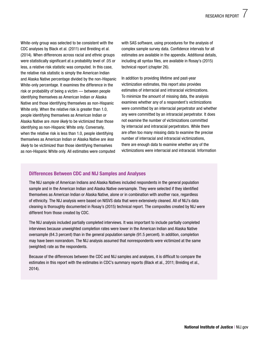White-only group was selected to be consistent with the CDC analyses by Black et al. (2011) and Breiding et al. (2014). When differences across racial and ethnic groups were statistically significant at a probability level of .05 or less, a relative risk statistic was computed. In this case, the relative risk statistic is simply the American Indian and Alaska Native percentage divided by the non-Hispanic White-only percentage. It examines the difference in the risk or probability of being a victim — between people identifying themselves as American Indian or Alaska Native and those identifying themselves as non-Hispanic White only. When the relative risk is greater than 1.0, people identifying themselves as American Indian or Alaska Native are *more likely* to be victimized than those identifying as non-Hispanic White only. Conversely, when the relative risk is less than 1.0, people identifying themselves as American Indian or Alaska Native are *less likely* to be victimized than those identifying themselves as non-Hispanic White only. All estimates were computed

with SAS software, using procedures for the analysis of complex sample survey data. Confidence intervals for all estimates are available in the appendix. Additional details, including all syntax files, are available in Rosay's (2015) technical report (chapter 26).

In addition to providing lifetime and past-year victimization estimates, this report also provides estimates of interracial and intraracial victimizations. To minimize the amount of missing data, the analysis examines whether any of a respondent's victimizations were committed by an interracial perpetrator and whether any were committed by an intraracial perpetrator. It does not examine the number of victimizations committed by interracial and intraracial perpetrators. While there are often too many missing data to examine the precise number of interracial and intraracial victimizations, there are enough data to examine whether any of the victimizations were interracial and intraracial. Information

#### Differences Between CDC and NIJ Samples and Analyses

The NIJ sample of American Indians and Alaska Natives included respondents in the general population sample and in the American Indian and Alaska Native oversample. They were selected if they identified themselves as American Indian or Alaska Native, alone or in combination with another race, regardless of ethnicity. The NIJ analysis were based on NISVS data that were extensively cleaned. All of NIJ's data cleaning is thoroughly documented in Rosay's (2015) technical report. The composites created by NIJ were different from those created by CDC.

The NIJ analysis included partially completed interviews. It was important to include partially completed interviews because unweighted completion rates were lower in the American Indian and Alaska Native oversample (84.3 percent) than in the general population sample (91.5 percent). In addition, completion may have been nonrandom. The NIJ analysis assumed that nonrespondents were victimized at the same (weighted) rate as the respondents.

Because of the differences between the CDC and NIJ samples and analyses, it is difficult to compare the estimates in this report with the estimates in CDC's summary reports (Black et al., 2011; Breiding et al., 2014).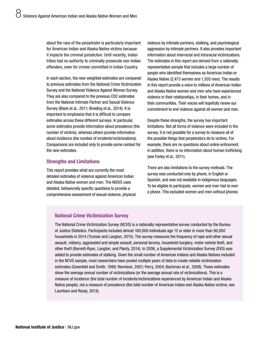about the race of the perpetrator is particularly important for American Indian and Alaska Native victims because it impacts the criminal jurisdiction. Until recently, Indian tribes had no authority to criminally prosecute non-Indian offenders, even for crimes committed in Indian Country.

In each section, the new weighted estimates are compared to previous estimates from the National Crime Victimization Survey and the National Violence Against Women Survey. They are also compared to the previous CDC estimates from the National Intimate Partner and Sexual Violence Survey (Black et al., 2011; Breiding et al., 2014). It is important to emphasize that it is difficult to compare estimates across these different surveys. In particular, some estimates provide information about prevalence (the number of victims), whereas others provide information about incidence (the number of incidents/victimizations). Comparisons are included only to provide some context for the new estimates.

#### Strengths and Limitations

This report provides what are currently the most detailed estimates of violence against American Indian and Alaska Native women and men. The NISVS uses detailed, behaviorally specific questions to provide a comprehensive assessment of sexual violence, physical violence by intimate partners, stalking, and psychological aggression by intimate partners. It also provides important information about interracial and intraracial victimizations. The estimates in this report are derived from a nationally representative sample that includes a large number of people who identified themselves as American Indian or Alaska Native (2,473 women and 1,505 men). The results in this report provide a voice to millions of American Indian and Alaska Native women and men who have experienced violence in their relationships, in their homes, and in their communities. Their voices will hopefully renew our commitment to end violence against all women and men.

Despite these strengths, the survey has important limitations. Not all forms of violence were included in the survey. It is not possible for a survey to measure all of the possible things that perpetrators do to victims. For example, there are no questions about online enticement. In addition, there is no information about human trafficking (see Farley et al., 2011).

There are also limitations to the survey methods. The survey was conducted only by phone, in English or Spanish, and was not available in indigenous languages. To be eligible to participate, women and men had to own a phone. This excluded women and men without phones

#### National Crime Victimization Survey

The National Crime Victimization Survey (NCVS) is a nationally representative survey conducted by the Bureau of Justice Statistics. Participants included almost 160,000 individuals age 12 or older in more than 90,000 households in 2014 (Truman and Langton, 2015). The survey measures the frequency of rape and other sexual assault, robbery, aggravated and simple assault, personal larceny, household burglary, motor vehicle theft, and other theft (Barnett-Ryan, Langton, and Planty, 2014). In 2006, a Supplemental Victimization Survey (SVS) was added to provide estimates of stalking. Given the small number of American Indians and Alaska Natives included in the NCVS sample, most researchers have pooled multiple years of data to create reliable victimization estimates (Greenfeld and Smith, 1999; Rennison, 2001; Perry, 2004; Bachman et al., 2008). These estimates show the average annual number of victimizations (or the average annual rate of victimizations). This is a measure of incidence (the total number of incidents/victimizations experienced by American Indian and Alaska Native people), not a measure of prevalence (the total number of American Indian and Alaska Native victims; see Lauritsen and Rezey, 2013).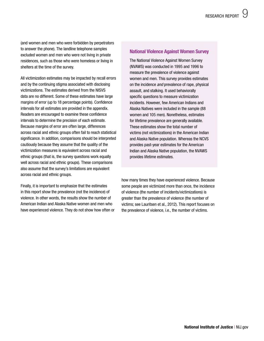(and women and men who were forbidden by perpetrators to answer the phone). The landline telephone samples excluded women and men who were not living in private residences, such as those who were homeless or living in shelters at the time of the survey.

All victimization estimates may be impacted by recall errors and by the continuing stigma associated with disclosing victimizations. The estimates derived from the NISVS data are no different. Some of these estimates have large margins of error (up to 18 percentage points). Confidence intervals for all estimates are provided in the appendix. Readers are encouraged to examine these confidence intervals to determine the precision of each estimate. Because margins of error are often large, differences across racial and ethnic groups often fail to reach statistical significance. In addition, comparisons should be interpreted cautiously because they assume that the quality of the victimization measures is equivalent across racial and ethnic groups (that is, the survey questions work equally well across racial and ethnic groups). These comparisons also assume that the survey's limitations are equivalent across racial and ethnic groups.

Finally, it is important to emphasize that the estimates in this report show the prevalence (not the incidence) of violence. In other words, the results show the number of American Indian and Alaska Native women and men who have experienced violence. They do not show how often or

#### National Violence Against Women Survey

The National Violence Against Women Survey (NVAWS) was conducted in 1995 and 1996 to measure the prevalence of violence against women and men. This survey provides estimates on the incidence *and* prevalence of rape, physical assault, and stalking. It used behaviorally specific questions to measure victimization incidents. However, few American Indians and Alaska Natives were included in the sample (88 women and 105 men). Nonetheless, estimates for lifetime prevalence are generally available. These estimates show the total number of victims (not victimizations) in the American Indian and Alaska Native population. Whereas the NCVS provides past-year estimates for the American Indian and Alaska Native population, the NVAWS provides lifetime estimates.

how many times they have experienced violence. Because some people are victimized more than once, the incidence of violence (the number of incidents/victimizations) is greater than the prevalence of violence (the number of victims; see Lauritsen et al., 2012). This report focuses on the prevalence of violence, i.e., the number of victims.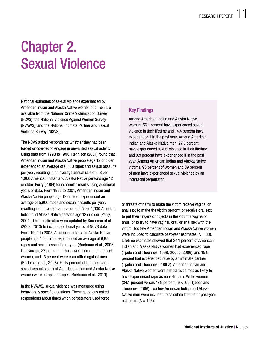### Chapter 2. Sexual Violence

National estimates of sexual violence experienced by American Indian and Alaska Native women and men are available from the National Crime Victimization Survey (NCVS), the National Violence Against Women Survey (NVAWS), and the National Intimate Partner and Sexual Violence Survey (NISVS).

The NCVS asked respondents whether they had been forced or coerced to engage in unwanted sexual activity. Using data from 1993 to 1998, Rennison (2001) found that American Indian and Alaska Native people age 12 or older experienced an average of 6,550 rapes and sexual assaults per year, resulting in an average annual rate of 5.8 per 1,000 American Indian and Alaska Native persons age 12 or older. Perry (2004) found similar results using additional years of data. From 1992 to 2001, American Indian and Alaska Native people age 12 or older experienced an average of 5,900 rapes and sexual assaults per year, resulting in an average annual rate of 5 per 1,000 American Indian and Alaska Native persons age 12 or older (Perry, 2004). These estimates were updated by Bachman et al. (2008, 2010) to include additional years of NCVS data. From 1992 to 2005, American Indian and Alaska Native people age 12 or older experienced an average of 6,956 rapes and sexual assaults per year (Bachman et al., 2008). On average, 87 percent of these were committed against women, and 13 percent were committed against men (Bachman et al., 2008). Forty percent of the rapes and sexual assaults against American Indian and Alaska Native women were completed rapes (Bachman et al., 2010).

In the NVAWS, sexual violence was measured using behaviorally specific questions. These questions asked respondents about times when perpetrators used force

#### Key Findings

Among American Indian and Alaska Native women, 56.1 percent have experienced sexual violence in their lifetime and 14.4 percent have experienced it in the past year. Among American Indian and Alaska Native men, 27.5 percent have experienced sexual violence in their lifetime and 9.9 percent have experienced it in the past year. Among American Indian and Alaska Native victims, 96 percent of women and 89 percent of men have experienced sexual violence by an interracial perpetrator.

or threats of harm to make the victim receive vaginal or anal sex; to make the victim perform or receive oral sex; to put their fingers or objects in the victim's vagina or anus; or to try to have vaginal, oral, or anal sex with the victim. Too few American Indian and Alaska Native women were included to calculate past-year estimates  $(N = 88)$ . Lifetime estimates showed that 34.1 percent of American Indian and Alaska Native women had experienced rape (Tjaden and Thoennes, 1998, 2000b, 2006), and 15.9 percent had experienced rape by an intimate partner (Tjaden and Thoennes, 2000a). American Indian and Alaska Native women were almost two times as likely to have experienced rape as non-Hispanic White women (34.1 percent versus 17.9 percent, *p* < .05; Tjaden and Thoennes, 2006). Too few American Indian and Alaska Native men were included to calculate lifetime or past-year estimates  $(N = 105)$ .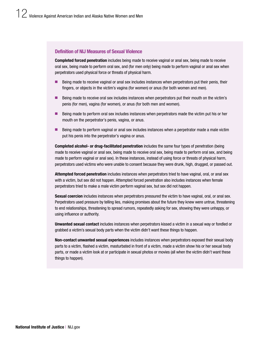#### Definition of NIJ Measures of Sexual Violence

Completed forced penetration includes being made to receive vaginal or anal sex, being made to receive oral sex, being made to perform oral sex, and (for men only) being made to perform vaginal or anal sex when perpetrators used physical force or threats of physical harm.

- Being made to receive vaginal or anal sex includes instances when perpetrators put their penis, their fingers, or objects in the victim's vagina (for women) or anus (for both women and men).
- Being made to receive oral sex includes instances when perpetrators put their mouth on the victim's penis (for men), vagina (for women), or anus (for both men and women).
- Being made to perform oral sex includes instances when perpetrators made the victim put his or her mouth on the perpetrator's penis, vagina, or anus.
- Being made to perform vaginal or anal sex includes instances when a perpetrator made a male victim put his penis into the perpetrator's vagina or anus.

Completed alcohol- or drug-facilitated penetration includes the same four types of penetration (being made to receive vaginal or anal sex, being made to receive oral sex, being made to perform oral sex, and being made to perform vaginal or anal sex). In these instances, instead of using force or threats of physical harm, perpetrators used victims who were unable to consent because they were drunk, high, drugged, or passed out.

Attempted forced penetration includes instances when perpetrators tried to have vaginal, oral, or anal sex with a victim, but sex did not happen. Attempted forced penetration also includes instances when female perpetrators tried to make a male victim perform vaginal sex, but sex did not happen.

Sexual coercion includes instances when perpetrators pressured the victim to have vaginal, oral, or anal sex. Perpetrators used pressure by telling lies, making promises about the future they knew were untrue, threatening to end relationships, threatening to spread rumors, repeatedly asking for sex, showing they were unhappy, or using influence or authority.

Unwanted sexual contact includes instances when perpetrators kissed a victim in a sexual way or fondled or grabbed a victim's sexual body parts when the victim didn't want these things to happen.

Non-contact unwanted sexual experiences includes instances when perpetrators exposed their sexual body parts to a victim, flashed a victim, masturbated in front of a victim, made a victim show his or her sexual body parts, or made a victim look at or participate in sexual photos or movies (all when the victim didn't want these things to happen).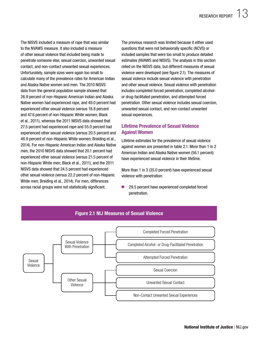The NISVS included a measure of rape that was similar to the NVAWS measure. It also included a measure of other sexual violence that included being made to penetrate someone else, sexual coercion, unwanted sexual contact, and non-contact unwanted sexual experiences. Unfortunately, sample sizes were again too small to calculate many of the prevalence rates for American Indian and Alaska Native women and men. The 2010 NISVS data from the general population sample showed that 26.9 percent of non-Hispanic American Indian and Alaska Native women had experienced rape, and 49.0 percent had experienced other sexual violence (versus 18.8 percent and 47.6 percent of non-Hispanic White women; Black et al., 2011), whereas the 2011 NISVS data showed that 27.5 percent had experienced rape and 55.0 percent had experienced other sexual violence (versus 20.5 percent and 46.9 percent of non-Hispanic White women; Breiding et al., 2014). For non-Hispanic American Indian and Alaska Native men, the 2010 NISVS data showed that 20.1 percent had experienced other sexual violence (versus 21.5 percent of non-Hispanic White men; Black et al., 2011), and the 2011 NISVS data showed that 24.5 percent had experienced other sexual violence (versus 22.2 percent of non-Hispanic White men; Breiding et al., 2014). For men, differences across racial groups were not statistically significant.

The previous research was limited because it either used questions that were not behaviorally specific (NCVS) or included samples that were too small to produce detailed estimates (NVAWS and NISVS). The analysis in this section relied on the NISVS data, but different measures of sexual violence were developed (see figure 2.1). The measures of sexual violence include sexual violence with penetration and other sexual violence. Sexual violence with penetration includes completed forced penetration, completed alcoholor drug-facilitated penetration, and attempted forced penetration. Other sexual violence includes sexual coercion, unwanted sexual contact, and non-contact unwanted sexual experiences.

#### Lifetime Prevalence of Sexual Violence Against Women

Lifetime estimates for the prevalence of sexual violence against women are presented in table 2.1. More than 1 in 2 American Indian and Alaska Native women (56.1 percent) have experienced sexual violence in their lifetime.

More than 1 in 3 (35.0 percent) have experienced sexual violence with penetration:

■ 29.5 percent have experienced completed forced penetration.



#### Figure 2.1 NIJ Measures of Sexual Violence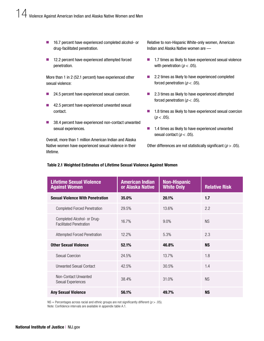- 16.7 percent have experienced completed alcohol- or drug-facilitated penetration.
- 12.2 percent have experienced attempted forced penetration.

More than 1 in 2 (52.1 percent) have experienced other sexual violence:

- 24.5 percent have experienced sexual coercion.
- 42.5 percent have experienced unwanted sexual contact.
- 38.4 percent have experienced non-contact unwanted sexual experiences.

Overall, more than 1 million American Indian and Alaska Native women have experienced sexual violence in their lifetime.

Relative to non-Hispanic White-only women, American Indian and Alaska Native women are —

- 1.7 times as likely to have experienced sexual violence with penetration ( $p < .05$ ).
- 2.2 times as likely to have experienced completed forced penetration ( $p < .05$ ).
- 2.3 times as likely to have experienced attempted forced penetration ( $p < .05$ ).
- 1.8 times as likely to have experienced sexual coercion  $(p < .05)$ .
- 1.4 times as likely to have experienced unwanted sexual contact ( $p < .05$ ).

Other differences are not statistically significant ( $p > .05$ ).

| <b>Lifetime Sexual Violence</b><br><b>Against Women</b>       | <b>American Indian</b><br>or Alaska Native | <b>Non-Hispanic</b><br><b>White Only</b> | <b>Relative Risk</b> |
|---------------------------------------------------------------|--------------------------------------------|------------------------------------------|----------------------|
| <b>Sexual Violence With Penetration</b>                       | 35.0%                                      | 20.1%                                    | 1.7                  |
| <b>Completed Forced Penetration</b>                           | 29.5%                                      | 13.6%                                    | 2.2                  |
| Completed Alcohol- or Drug-<br><b>Facilitated Penetration</b> | 16.7%                                      | 9.0%                                     | <b>NS</b>            |
| <b>Attempted Forced Penetration</b>                           | 12.2%                                      | 5.3%                                     | 2.3                  |
| <b>Other Sexual Violence</b>                                  | 52.1%                                      | 46.8%                                    | <b>NS</b>            |
| Sexual Coercion                                               | 24.5%                                      | 13.7%                                    | 1.8                  |
| Unwanted Sexual Contact                                       | 42.5%                                      | 30.5%                                    | 1.4                  |
| Non-Contact Unwanted<br>Sexual Experiences                    | 38.4%                                      | 31.0%                                    | <b>NS</b>            |
| <b>Any Sexual Violence</b>                                    | 56.1%                                      | 49.7%                                    | <b>NS</b>            |

#### Table 2.1 Weighted Estimates of Lifetime Sexual Violence Against Women

NS = Percentages across racial and ethnic groups are not significantly different (*p* > .05). Note: Confidence intervals are available in appendix table A.1.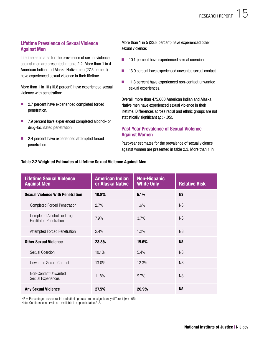#### Lifetime Prevalence of Sexual Violence Against Men

Lifetime estimates for the prevalence of sexual violence against men are presented in table 2.2. More than 1 in 4 American Indian and Alaska Native men (27.5 percent) have experienced sexual violence in their lifetime.

More than 1 in 10 (10.8 percent) have experienced sexual violence with penetration:

- 2.7 percent have experienced completed forced penetration.
- 7.9 percent have experienced completed alcohol- or drug-facilitated penetration.
- 2.4 percent have experienced attempted forced penetration.

More than 1 in 5 (23.8 percent) have experienced other sexual violence:

- 10.1 percent have experienced sexual coercion.
- 13.0 percent have experienced unwanted sexual contact.
- 11.8 percent have experienced non-contact unwanted sexual experiences.

Overall, more than 475,000 American Indian and Alaska Native men have experienced sexual violence in their lifetime. Differences across racial and ethnic groups are not statistically significant (*p* > .05).

#### Past-Year Prevalence of Sexual Violence Against Women

Past-year estimates for the prevalence of sexual violence against women are presented in table 2.3. More than 1 in

| <b>Lifetime Sexual Violence</b><br><b>Against Men</b>         | <b>American Indian</b><br>or Alaska Native | <b>Non-Hispanic</b><br><b>White Only</b> | <b>Relative Risk</b> |
|---------------------------------------------------------------|--------------------------------------------|------------------------------------------|----------------------|
| <b>Sexual Violence With Penetration</b>                       | 10.8%                                      | 5.1%                                     | <b>NS</b>            |
| <b>Completed Forced Penetration</b>                           | 2.7%                                       | 1.6%                                     | <b>NS</b>            |
| Completed Alcohol- or Drug-<br><b>Facilitated Penetration</b> | 7.9%                                       | 3.7%                                     | <b>NS</b>            |
| <b>Attempted Forced Penetration</b>                           | 2.4%                                       | 1.2%                                     | <b>NS</b>            |
| <b>Other Sexual Violence</b>                                  | 23.8%                                      | 19.6%                                    | <b>NS</b>            |
| Sexual Coercion                                               | 10.1%                                      | 5.4%                                     | <b>NS</b>            |
| Unwanted Sexual Contact                                       | 13.0%                                      | 12.3%                                    | <b>NS</b>            |
| Non-Contact Unwanted<br>Sexual Experiences                    | 11.8%                                      | $9.7\%$                                  | <b>NS</b>            |
| <b>Any Sexual Violence</b>                                    | 27.5%                                      | 20.9%                                    | <b>NS</b>            |

#### Table 2.2 Weighted Estimates of Lifetime Sexual Violence Against Men

NS = Percentages across racial and ethnic groups are not significantly different (*p* > .05).

Note: Confidence intervals are available in appendix table A.2.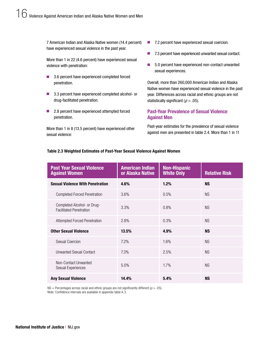7 American Indian and Alaska Native women (14.4 percent) have experienced sexual violence in the past year.

More than 1 in 22 (4.6 percent) have experienced sexual violence with penetration:

- 3.6 percent have experienced completed forced penetration.
- 3.3 percent have experienced completed alcohol- or drug-facilitated penetration.
- 2.8 percent have experienced attempted forced penetration.

More than 1 in 8 (13.5 percent) have experienced other sexual violence:

- 7.2 percent have experienced sexual coercion.
- 7.3 percent have experienced unwanted sexual contact.
- 5.0 percent have experienced non-contact unwanted sexual experiences.

Overall, more than 260,000 American Indian and Alaska Native women have experienced sexual violence in the past year. Differences across racial and ethnic groups are not statistically significant (*p* > .05).

#### Past-Year Prevalence of Sexual Violence Against Men

Past-year estimates for the prevalence of sexual violence against men are presented in table 2.4. More than 1 in 11

#### Table 2.3 Weighted Estimates of Past-Year Sexual Violence Against Women

| <b>Past Year Sexual Violence</b><br><b>Against Women</b>      | <b>American Indian</b><br>or Alaska Native | <b>Non-Hispanic</b><br><b>White Only</b> | <b>Relative Risk</b> |
|---------------------------------------------------------------|--------------------------------------------|------------------------------------------|----------------------|
| <b>Sexual Violence With Penetration</b>                       | 4.6%                                       | 1.2%                                     | <b>NS</b>            |
| <b>Completed Forced Penetration</b>                           | 3.6%                                       | 0.5%                                     | <b>NS</b>            |
| Completed Alcohol- or Drug-<br><b>Facilitated Penetration</b> | 3.3%                                       | 0.8%                                     | <b>NS</b>            |
| <b>Attempted Forced Penetration</b>                           | 2.8%                                       | 0.3%                                     | <b>NS</b>            |
| <b>Other Sexual Violence</b>                                  | 13.5%                                      | 4.9%                                     | <b>NS</b>            |
| Sexual Coercion                                               | 7.2%                                       | 1.6%                                     | <b>NS</b>            |
| Unwanted Sexual Contact                                       | 7.3%                                       | 2.5%                                     | <b>NS</b>            |
| Non-Contact Unwanted<br>Sexual Experiences                    | 5.0%                                       | 1.7%                                     | <b>NS</b>            |
| <b>Any Sexual Violence</b>                                    | 14.4%                                      | 5.4%                                     | <b>NS</b>            |

NS = Percentages across racial and ethnic groups are not significantly different (*p* > .05). Note: Confidence intervals are available in appendix table A.3.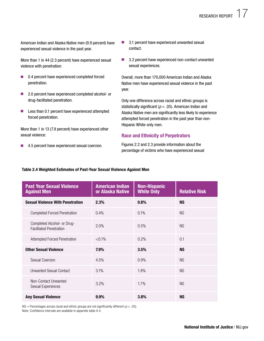American Indian and Alaska Native men (9.9 percent) have experienced sexual violence in the past year.

More than 1 in 44 (2.3 percent) have experienced sexual violence with penetration:

- 0.4 percent have experienced completed forced penetration.
- 2.0 percent have experienced completed alcohol- or drug-facilitated penetration.
- Less than 0.1 percent have experienced attempted forced penetration.

More than 1 in 13 (7.9 percent) have experienced other sexual violence:

■ 4.5 percent have experienced sexual coercion.

- 3.1 percent have experienced unwanted sexual contact.
- 3.2 percent have experienced non-contact unwanted sexual experiences.

Overall, more than 170,000 American Indian and Alaska Native men have experienced sexual violence in the past year.

Only one difference across racial and ethnic groups is statistically significant (*p* < .05). American Indian and Alaska Native men are significantly less likely to experience attempted forced penetration in the past year than non-Hispanic White-only men.

#### Race and Ethnicity of Perpetrators

Figures 2.2 and 2.3 provide information about the percentage of victims who have experienced sexual

#### Table 2.4 Weighted Estimates of Past-Year Sexual Violence Against Men

| <b>Past Year Sexual Violence</b><br><b>Against Men</b>        | <b>American Indian</b><br>or Alaska Native | <b>Non-Hispanic</b><br><b>White Only</b> | <b>Relative Risk</b> |
|---------------------------------------------------------------|--------------------------------------------|------------------------------------------|----------------------|
| <b>Sexual Violence With Penetration</b>                       | 2.3%                                       | 0.8%                                     | <b>NS</b>            |
| <b>Completed Forced Penetration</b>                           | $0.4\%$                                    | 0.1%                                     | <b>NS</b>            |
| Completed Alcohol- or Drug-<br><b>Facilitated Penetration</b> | 2.0%                                       | 0.5%                                     | <b>NS</b>            |
| <b>Attempted Forced Penetration</b>                           | $< 0.1\%$                                  | $0.2\%$                                  | 0.1                  |
| <b>Other Sexual Violence</b>                                  | 7.9%                                       | 3.5%                                     | <b>NS</b>            |
| Sexual Coercion                                               | 4.5%                                       | 0.9%                                     | <b>NS</b>            |
| Unwanted Sexual Contact                                       | 3.1%                                       | 1.8%                                     | <b>NS</b>            |
| Non-Contact Unwanted<br>Sexual Experiences                    | 3.2%                                       | 1.7%                                     | <b>NS</b>            |
| <b>Any Sexual Violence</b>                                    | 9.9%                                       | 3.8%                                     | <b>NS</b>            |

NS = Percentages across racial and ethnic groups are not significantly different (*p* > .05).

Note: Confidence intervals are available in appendix table A.4.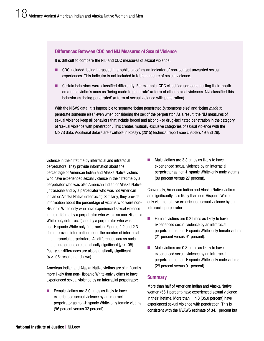#### Differences Between CDC and NIJ Measures of Sexual Violence

It is difficult to compare the NIJ and CDC measures of sexual violence:

- CDC included 'being harassed in a public place' as an indicator of non-contact unwanted sexual experiences. This indicator is not included in NIJ's measure of sexual violence.
- Certain behaviors were classified differently. For example, CDC classified someone putting their mouth on a male victim's anus as 'being made to penetrate' (a form of other sexual violence). NIJ classified this behavior as 'being penetrated' (a form of sexual violence with penetration).

With the NISVS data, it is impossible to separate 'being penetrated *by* someone else' and 'being *made to*  penetrate someone else,' even when considering the sex of the perpetrator. As a result, the NIJ measures of sexual violence keep all behaviors that include forced and alcohol- or drug-facilitated penetration in the category of 'sexual violence with penetration'. This creates mutually exclusive categories of sexual violence with the NISVS data. Additional details are available in Rosay's (2015) technical report (see chapters 19 and 26).

violence in their lifetime by interracial and intraracial perpetrators. They provide information about the percentage of American Indian and Alaska Native victims who have experienced sexual violence in their lifetime by a perpetrator who was also American Indian or Alaska Native (intraracial) and by a perpetrator who was not American Indian or Alaska Native (interracial). Similarly, they provide information about the percentage of victims who were non-Hispanic White only who have experienced sexual violence in their lifetime by a perpetrator who was also non-Hispanic White only (intraracial) and by a perpetrator who was not non-Hispanic White only (interracial). Figures 2.2 and 2.3 do not provide information about the number of interracial and intraracial perpetrators. All differences across racial and ethnic groups are statistically significant (*p* < .05). Past-year differences are also statistically significant  $(p < .05$ ; results not shown).

American Indian and Alaska Native victims are significantly more likely than non-Hispanic White-only victims to have experienced sexual violence by an interracial perpetrator:

Female victims are 3.0 times as likely to have experienced sexual violence by an interracial perpetrator as non-Hispanic White-only female victims (96 percent versus 32 percent).

■ Male victims are 3.3 times as likely to have experienced sexual violence by an interracial perpetrator as non-Hispanic White-only male victims (89 percent versus 27 percent).

Conversely, American Indian and Alaska Native victims are significantly less likely than non-Hispanic Whiteonly victims to have experienced sexual violence by an intraracial perpetrator:

- Female victims are 0.2 times as likely to have experienced sexual violence by an intraracial perpetrator as non-Hispanic White-only female victims (21 percent versus 91 percent).
- Male victims are 0.3 times as likely to have experienced sexual violence by an intraracial perpetrator as non-Hispanic White-only male victims (29 percent versus 91 percent).

#### **Summary**

More than half of American Indian and Alaska Native women (56.1 percent) have experienced sexual violence in their lifetime. More than 1 in 3 (35.0 percent) have experienced sexual violence with penetration. This is consistent with the NVAWS estimate of 34.1 percent but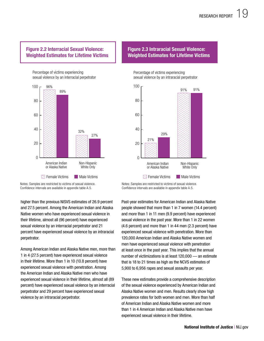#### Figure 2.2 Interracial Sexual Violence: Weighted Estimates for Lifetime Victims



Percentage of victims experiencing sexual violence by an interracial perpetrator

Notes: Samples are restricted to victims of sexual violence. Confidence intervals are available in appendix table A.5.

higher than the previous NISVS estimates of 26.9 percent and 27.5 percent. Among the American Indian and Alaska Native women who have experienced sexual violence in their lifetime, almost all (96 percent) have experienced sexual violence by an interracial perpetrator and 21 percent have experienced sexual violence by an intraracial perpetrator.

Among American Indian and Alaska Native men, more than 1 in 4 (27.5 percent) have experienced sexual violence in their lifetime. More than 1 in 10 (10.8 percent) have experienced sexual violence with penetration. Among the American Indian and Alaska Native men who have experienced sexual violence in their lifetime, almost all (89 percent) have experienced sexual violence by an interracial perpetrator and 29 percent have experienced sexual violence by an intraracial perpetrator.

#### Figure 2.3 Intraracial Sexual Violence: Weighted Estimates for Lifetime Victims

Percentage of victims experiencing sexual violence by an intraracial perpetrator



Notes: Samples are restricted to victims of sexual violence. Confidence intervals are available in appendix table A.5.

Past-year estimates for American Indian and Alaska Native people showed that more than 1 in 7 women (14.4 percent) and more than 1 in 11 men (9.9 percent) have experienced sexual violence in the past year. More than 1 in 22 women (4.6 percent) and more than 1 in 44 men (2.3 percent) have experienced sexual violence with penetration. More than 120,000 American Indian and Alaska Native women and men have experienced sexual violence with penetration at least once in the past year. This implies that the annual number of victimizations is at least 120,000 — an estimate that is 18 to 21 times as high as the NCVS estimates of 5,900 to 6,956 rapes and sexual assaults per year.

These new estimates provide a comprehensive description of the sexual violence experienced by American Indian and Alaska Native women and men. Results clearly show high prevalence rates for both women and men. More than half of American Indian and Alaska Native women and more than 1 in 4 American Indian and Alaska Native men have experienced sexual violence in their lifetime.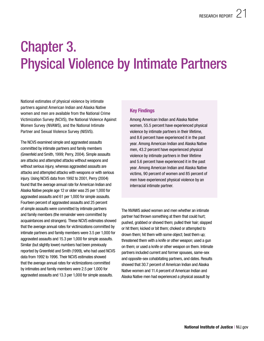### Chapter 3. Physical Violence by Intimate Partners

National estimates of physical violence by intimate partners against American Indian and Alaska Native women and men are available from the National Crime Victimization Survey (NCVS), the National Violence Against Women Survey (NVAWS), and the National Intimate Partner and Sexual Violence Survey (NISVS).

The NCVS examined simple and aggravated assaults committed by intimate partners and family members (Greenfeld and Smith, 1999; Perry, 2004). Simple assaults are attacks and attempted attacks without weapons and without serious injury, whereas aggravated assaults are attacks and attempted attacks with weapons or with serious injury. Using NCVS data from 1992 to 2001, Perry (2004) found that the average annual rate for American Indian and Alaska Native people age 12 or older was 25 per 1,000 for aggravated assaults and 61 per 1,000 for simple assaults. Fourteen percent of aggravated assaults and 25 percent of simple assaults were committed by intimate partners and family members (the remainder were committed by acquaintances and strangers). These NCVS estimates showed that the average annual rates for victimizations committed by intimate partners and family members were 3.5 per 1,000 for aggravated assaults and 15.3 per 1,000 for simple assaults. Similar (but slightly lower) numbers had been previously reported by Greenfeld and Smith (1999), who had used NCVS data from 1992 to 1996. Their NCVS estimates showed that the average annual rates for victimizations committed by intimates and family members were 2.5 per 1,000 for aggravated assaults and 13.3 per 1,000 for simple assaults.

#### Key Findings

Among American Indian and Alaska Native women, 55.5 percent have experienced physical violence by intimate partners in their lifetime, and 8.6 percent have experienced it in the past year. Among American Indian and Alaska Native men, 43.2 percent have experienced physical violence by intimate partners in their lifetime and 5.6 percent have experienced it in the past year. Among American Indian and Alaska Native victims, 90 percent of women and 85 percent of men have experienced physical violence by an interracial intimate partner.

The NVAWS asked women and men whether an intimate partner had thrown something at them that could hurt; pushed, grabbed or shoved them; pulled their hair; slapped or hit them; kicked or bit them; choked or attempted to drown them; hit them with some object; beat them up; threatened them with a knife or other weapon; used a gun on them; or used a knife or other weapon on them. Intimate partners included current and former spouses, same-sex and opposite-sex cohabitating partners, and dates. Results showed that 30.7 percent of American Indian and Alaska Native women and 11.4 percent of American Indian and Alaska Native men had experienced a physical assault by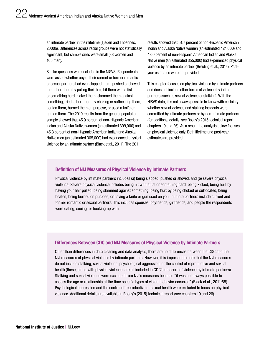an intimate partner in their lifetime (Tjaden and Thoennes, 2000a). Differences across racial groups were not statistically significant, but sample sizes were small (88 women and 105 men).

Similar questions were included in the NISVS. Respondents were asked whether any of their current or former romantic or sexual partners had ever slapped them, pushed or shoved them, hurt them by pulling their hair, hit them with a fist or something hard, kicked them, slammed them against something, tried to hurt them by choking or suffocating them, beaten them, burned them on purpose, or used a knife or gun on them. The 2010 results from the general population sample showed that 45.9 percent of non-Hispanic American Indian and Alaska Native women (an estimated 399,000) and 45.3 percent of non-Hispanic American Indian and Alaska Native men (an estimated 365,000) had experienced physical violence by an intimate partner (Black et al., 2011). The 2011

results showed that 51.7 percent of non-Hispanic American Indian and Alaska Native women (an estimated 424,000) and 43.0 percent of non-Hispanic American Indian and Alaska Native men (an estimated 355,000) had experienced physical violence by an intimate partner (Breiding et al., 2014). Pastyear estimates were not provided.

This chapter focuses on physical violence by intimate partners and does not include other forms of violence by intimate partners (such as sexual violence or stalking). With the NISVS data, it is not always possible to know with certainty whether sexual violence and stalking incidents were committed by intimate partners or by non-intimate partners (for additional details, see Rosay's 2015 technical report, chapters 19 and 26). As a result, the analysis below focuses on physical violence only. Both lifetime and past-year estimates are provided.

#### Definition of NIJ Measures of Physical Violence by Intimate Partners

Physical violence by intimate partners includes (a) being slapped, pushed or shoved, and (b) severe physical violence. Severe physical violence includes being hit with a fist or something hard, being kicked, being hurt by having your hair pulled, being slammed against something, being hurt by being choked or suffocated, being beaten, being burned on purpose, or having a knife or gun used on you. Intimate partners include current and former romantic or sexual partners. This includes spouses, boyfriends, girlfriends, and people the respondents were dating, seeing, or hooking up with.

#### Differences Between CDC and NIJ Measures of Physical Violence by Intimate Partners

Other than differences in data cleaning and data analysis, there are no differences between the CDC and the NIJ measures of physical violence by intimate partners. However, it is important to note that the NIJ measures do not include stalking, sexual violence, psychological aggression, or the control of reproductive and sexual health (these, along with physical violence, are all included in CDC's measure of violence by intimate partners). Stalking and sexual violence were excluded from NIJ's measures because "it was not always possible to assess the age or relationship at the time specific types of violent behavior occurred" (Black et al., 2011:85). Psychological aggression and the control of reproductive or sexual health were excluded to focus on physical violence. Additional details are available in Rosay's (2015) technical report (see chapters 19 and 26).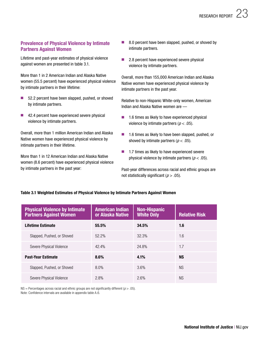#### Prevalence of Physical Violence by Intimate Partners Against Women

Lifetime and past-year estimates of physical violence against women are presented in table 3.1.

More than 1 in 2 American Indian and Alaska Native women (55.5 percent) have experienced physical violence by intimate partners in their lifetime:

- 52.2 percent have been slapped, pushed, or shoved by intimate partners.
- 42.4 percent have experienced severe physical violence by intimate partners.

Overall, more than 1 million American Indian and Alaska Native women have experienced physical violence by intimate partners in their lifetime.

More than 1 in 12 American Indian and Alaska Native women (8.6 percent) have experienced physical violence by intimate partners in the past year:

- 8.0 percent have been slapped, pushed, or shoved by intimate partners.
- 2.8 percent have experienced severe physical violence by intimate partners.

Overall, more than 155,000 American Indian and Alaska Native women have experienced physical violence by intimate partners in the past year.

Relative to non-Hispanic White-only women, American Indian and Alaska Native women are —

- 1.6 times as likely to have experienced physical violence by intimate partners ( $p < .05$ ).
- 1.6 times as likely to have been slapped, pushed, or shoved by intimate partners ( $p < .05$ ).
- 1.7 times as likely to have experienced severe physical violence by intimate partners ( $p < .05$ ).

Past-year differences across racial and ethnic groups are not statistically significant ( $p > .05$ ).

| <b>Physical Violence by Intimate</b><br><b>Partners Against Women</b> | <b>American Indian</b><br>or Alaska Native | <b>Non-Hispanic</b><br><b>White Only</b> | <b>Relative Risk</b> |
|-----------------------------------------------------------------------|--------------------------------------------|------------------------------------------|----------------------|
| Lifetime Estimate                                                     | 55.5%                                      | 34.5%                                    | 1.6                  |
| Slapped, Pushed, or Shoved                                            | 52.2%                                      | 32.3%                                    | 1.6                  |
| Severe Physical Violence                                              | 42.4%                                      | 24.8%                                    | 1.7                  |
| <b>Past-Year Estimate</b>                                             | 8.6%                                       | 4.1%                                     | <b>NS</b>            |
| Slapped, Pushed, or Shoved                                            | 8.0%                                       | 3.6%                                     | NS.                  |
| Severe Physical Violence                                              | 2.8%                                       | 2.6%                                     | <b>NS</b>            |

#### Table 3.1 Weighted Estimates of Physical Violence by Intimate Partners Against Women

NS = Percentages across racial and ethnic groups are not significantly different (*p* > .05).

Note: Confidence intervals are available in appendix table A.6.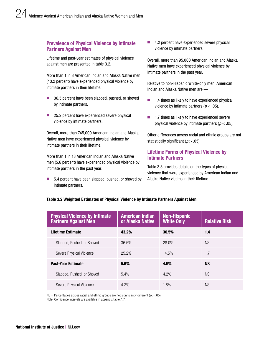#### Prevalence of Physical Violence by Intimate Partners Against Men

Lifetime and past-year estimates of physical violence against men are presented in table 3.2.

More than 1 in 3 American Indian and Alaska Native men (43.2 percent) have experienced physical violence by intimate partners in their lifetime:

- 36.5 percent have been slapped, pushed, or shoved by intimate partners.
- 25.2 percent have experienced severe physical violence by intimate partners.

Overall, more than 745,000 American Indian and Alaska Native men have experienced physical violence by intimate partners in their lifetime.

More than 1 in 18 American Indian and Alaska Native men (5.6 percent) have experienced physical violence by intimate partners in the past year:

■ 5.4 percent have been slapped, pushed, or shoved by intimate partners.

■ 4.2 percent have experienced severe physical violence by intimate partners.

Overall, more than 95,000 American Indian and Alaska Native men have experienced physical violence by intimate partners in the past year.

Relative to non-Hispanic White-only men, American Indian and Alaska Native men are —

- 1.4 times as likely to have experienced physical violence by intimate partners (*p* < .05).
- 1.7 times as likely to have experienced severe physical violence by intimate partners ( $p < .05$ ).

Other differences across racial and ethnic groups are not statistically significant (*p* > .05).

#### Lifetime Forms of Physical Violence by Intimate Partners

Table 3.3 provides details on the types of physical violence that were experienced by American Indian and Alaska Native victims in their lifetime.

| <b>Physical Violence by Intimate</b><br><b>Partners Against Men</b> | <b>American Indian</b><br>or Alaska Native | <b>Non-Hispanic</b><br><b>White Only</b> | <b>Relative Risk</b> |
|---------------------------------------------------------------------|--------------------------------------------|------------------------------------------|----------------------|
| <b>Lifetime Estimate</b>                                            | 43.2%                                      | 30.5%                                    | 1.4                  |
| Slapped, Pushed, or Shoved                                          | 36.5%                                      | 28.0%                                    | <b>NS</b>            |
| Severe Physical Violence                                            | 25.2%                                      | 14.5%                                    | 1.7                  |
| <b>Past-Year Estimate</b>                                           | 5.6%                                       | 4.5%                                     | <b>NS</b>            |
| Slapped, Pushed, or Shoved                                          | 5.4%                                       | 4.2%                                     | <b>NS</b>            |
| Severe Physical Violence                                            | 4.2%                                       | 1.8%                                     | ΝS                   |

#### Table 3.2 Weighted Estimates of Physical Violence by Intimate Partners Against Men

NS = Percentages across racial and ethnic groups are not significantly different (*p* > .05).

Note: Confidence intervals are available in appendix table A.7.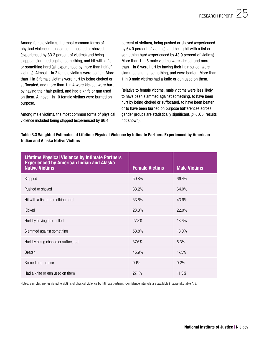Among female victims, the most common forms of physical violence included being pushed or shoved (experienced by 83.2 percent of victims) and being slapped, slammed against something, and hit with a fist or something hard (all experienced by more than half of victims). Almost 1 in 2 female victims were beaten. More than 1 in 3 female victims were hurt by being choked or suffocated, and more than 1 in 4 were kicked, were hurt by having their hair pulled, and had a knife or gun used on them. Almost 1 in 10 female victims were burned on purpose.

Among male victims, the most common forms of physical violence included being slapped (experienced by 66.4

percent of victims), being pushed or shoved (experienced by 64.0 percent of victims), and being hit with a fist or something hard (experienced by 43.9 percent of victims). More than 1 in 5 male victims were kicked, and more than 1 in 6 were hurt by having their hair pulled, were slammed against something, and were beaten. More than 1 in 9 male victims had a knife or gun used on them.

Relative to female victims, male victims were less likely to have been slammed against something, to have been hurt by being choked or suffocated, to have been beaten, or to have been burned on purpose (differences across gender groups are statistically significant, *p* < .05; results not shown).

| Table 3.3 Weighted Estimates of Lifetime Physical Violence by Intimate Partners Experienced by American |
|---------------------------------------------------------------------------------------------------------|
| <b>Indian and Alaska Native Victims</b>                                                                 |

| <b>Lifetime Physical Violence by Intimate Partners</b><br><b>Experienced by American Indian and Alaska</b><br><b>Native Victims</b> | <b>Female Victims</b> | <b>Male Victims</b> |
|-------------------------------------------------------------------------------------------------------------------------------------|-----------------------|---------------------|
| Slapped                                                                                                                             | 59.8%                 | 66.4%               |
| Pushed or shoved                                                                                                                    | 83.2%                 | 64.0%               |
| Hit with a fist or something hard                                                                                                   | 53.6%                 | 43.9%               |
| Kicked                                                                                                                              | 28.3%                 | 22.0%               |
| Hurt by having hair pulled                                                                                                          | 27.3%                 | 18.6%               |
| Slammed against something                                                                                                           | 53.8%                 | 18.0%               |
| Hurt by being choked or suffocated                                                                                                  | 37.6%                 | 6.3%                |
| <b>Beaten</b>                                                                                                                       | 45.9%                 | 17.5%               |
| Burned on purpose                                                                                                                   | 9.1%                  | 0.2%                |
| Had a knife or gun used on them                                                                                                     | 27.1%                 | 11.3%               |

Notes: Samples are restricted to victims of physical violence by intimate partners. Confidence intervals are available in appendix table A.8.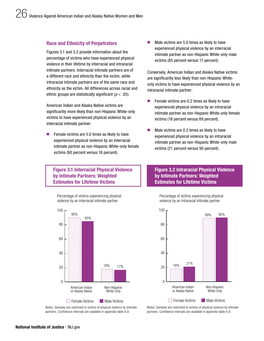#### Race and Ethnicity of Perpetrators

Figures 3.1 and 3.2 provide information about the percentage of victims who have experienced physical violence in their lifetime by interracial and intraracial intimate partners. Interracial intimate partners are of a different race and ethnicity than the victim, while intraracial intimate partners are of the same race and ethnicity as the victim. All differences across racial and ethnic groups are statistically significant (*p* < .05).

American Indian and Alaska Native victims are significantly more likely than non-Hispanic White-only victims to have experienced physical violence by an interracial intimate partner:

■ Female victims are 5.0 times as likely to have experienced physical violence by an interracial intimate partner as non-Hispanic White-only female victims (90 percent versus 18 percent).

# Figure 3.1 Interracial Physical Violence by Intimate Partners: Weighted Estimates for Lifetime Victims

Percentage of victims experiencing physical violence by an interracial intimate partner



Male victims are 5.0 times as likely to have experienced physical violence by an interracial intimate partner as non-Hispanic White-only male victims (85 percent versus 17 percent).

Conversely, American Indian and Alaska Native victims are significantly less likely than non-Hispanic Whiteonly victims to have experienced physical violence by an intraracial intimate partner:

- Female victims are 0.2 times as likely to have experienced physical violence by an intraracial intimate partner as non-Hispanic White-only female victims (18 percent versus 89 percent).
- Male victims are 0.2 times as likely to have experienced physical violence by an intraracial intimate partner as non-Hispanic White-only male victims (21 percent versus 90 percent).

# Figure 3.2 Intraracial Physical Violence by Intimate Partners: Weighted Estimates for Lifetime Victims

Percentage of victims experiencing physical violence by an intraracial intimate partner



Notes: Samples are restricted to victims of physical violence by intimate partners. Confidence intervals are available in appendix table A.9.

Notes: Samples are restricted to victims of physical violence by intimate partners. Confidence intervals are available in appendix table A.9.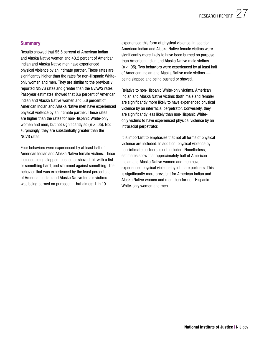### **Summary**

Results showed that 55.5 percent of American Indian and Alaska Native women and 43.2 percent of American Indian and Alaska Native men have experienced physical violence by an intimate partner. These rates are significantly higher than the rates for non-Hispanic Whiteonly women and men. They are similar to the previously reported NISVS rates and greater than the NVAWS rates. Past-year estimates showed that 8.6 percent of American Indian and Alaska Native women and 5.6 percent of American Indian and Alaska Native men have experienced physical violence by an intimate partner. These rates are higher than the rates for non-Hispanic White-only women and men, but not significantly so (*p* > .05). Not surprisingly, they are substantially greater than the NCVS rates.

Four behaviors were experienced by at least half of American Indian and Alaska Native female victims. These included being slapped, pushed or shoved, hit with a fist or something hard, and slammed against something. The behavior that was experienced by the least percentage of American Indian and Alaska Native female victims was being burned on purpose — but almost 1 in 10

experienced this form of physical violence. In addition, American Indian and Alaska Native female victims were significantly more likely to have been burned on purpose than American Indian and Alaska Native male victims (*p* < .05). Two behaviors were experienced by at least half of American Indian and Alaska Native male victims being slapped and being pushed or shoved.

Relative to non-Hispanic White-only victims, American Indian and Alaska Native victims (both male and female) are significantly more likely to have experienced physical violence by an interracial perpetrator. Conversely, they are significantly less likely than non-Hispanic Whiteonly victims to have experienced physical violence by an intraracial perpetrator.

It is important to emphasize that not all forms of physical violence are included. In addition, physical violence by non-intimate partners is not included. Nonetheless, estimates show that approximately half of American Indian and Alaska Native women and men have experienced physical violence by intimate partners. This is significantly more prevalent for American Indian and Alaska Native women and men than for non-Hispanic White-only women and men.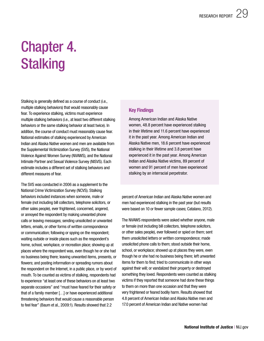# Chapter 4. **Stalking**

Stalking is generally defined as a course of conduct (i.e., multiple stalking behaviors) that would reasonably cause fear. To experience stalking, victims must experience multiple stalking behaviors (i.e., at least two different stalking behaviors or the same stalking behavior at least twice). In addition, the course of conduct must reasonably cause fear. National estimates of stalking experienced by American Indian and Alaska Native women and men are available from the Supplemental Victimization Survey (SVS), the National Violence Against Women Survey (NVAWS), and the National Intimate Partner and Sexual Violence Survey (NISVS). Each estimate includes a different set of stalking behaviors and different measures of fear.

The SVS was conducted in 2006 as a supplement to the National Crime Victimization Survey (NCVS). Stalking behaviors included instances when someone, male or female (not including bill collectors, telephone solicitors, or other sales people), ever frightened, concerned, angered, or annoyed the respondent by making unwanted phone calls or leaving messages; sending unsolicited or unwanted letters, emails, or other forms of written correspondence or communication; following or spying on the respondent; waiting outside or inside places such as the respondent's home, school, workplace, or recreation place; showing up at places where the respondent was, even though he or she had no business being there; leaving unwanted items, presents, or flowers; and posting information or spreading rumors about the respondent on the Internet, in a public place, or by word of mouth. To be counted as victims of stalking, respondents had to experience "at least one of these behaviors on at least two separate occasions" and "must have feared for their safety or that of a family member […] or have experienced additional threatening behaviors that would cause a reasonable person to feel fear" (Baum et al., 2009:1). Results showed that 2.2

#### Key Findings

Among American Indian and Alaska Native women, 48.8 percent have experienced stalking in their lifetime and 11.6 percent have experienced it in the past year. Among American Indian and Alaska Native men, 18.6 percent have experienced stalking in their lifetime and 3.8 percent have experienced it in the past year. Among American Indian and Alaska Native victims, 89 percent of women and 91 percent of men have experienced stalking by an interracial perpetrator.

percent of American Indian and Alaska Native women and men had experienced stalking in the past year (but results were based on 10 or fewer sample cases; Catalano, 2012).

The NVAWS respondents were asked whether anyone, male or female (not including bill collectors, telephone solicitors, or other sales people), ever followed or spied on them; sent them unsolicited letters or written correspondence; made unsolicited phone calls to them; stood outside their home, school, or workplace; showed up at places they were, even though he or she had no business being there; left unwanted items for them to find; tried to communicate in other ways against their will; or vandalized their property or destroyed something they loved. Respondents were counted as stalking victims if they reported that someone had done these things to them on more than one occasion and that they were very frightened or feared bodily harm. Results showed that 4.8 percent of American Indian and Alaska Native men and 17.0 percent of American Indian and Native women had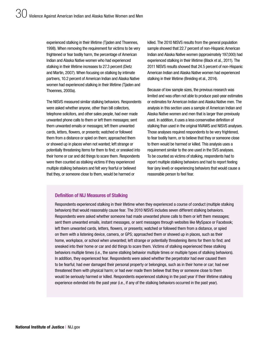experienced stalking in their lifetime (Tjaden and Thoennes, 1998). When removing the requirement for victims to be very frightened or fear bodily harm, the percentage of American Indian and Alaska Native women who had experienced stalking in their lifetime increases to 27.3 percent (Dietz and Martin, 2007). When focusing on stalking by intimate partners, 10.2 percent of American Indian and Alaska Native women had experienced stalking in their lifetime (Tjaden and Thoennes, 2000a).

The NISVS measured similar stalking behaviors. Respondents were asked whether anyone, other than bill collectors, telephone solicitors, and other sales people, had ever made unwanted phone calls to them or left them messages; sent them unwanted emails or messages; left them unwanted cards, letters, flowers, or presents; watched or followed them from a distance or spied on them; approached them or showed up in places when not wanted; left strange or potentially threatening items for them to find; or sneaked into their home or car and did things to scare them. Respondents were then counted as stalking victims if they experienced multiple stalking behaviors and felt very fearful or believed that they, or someone close to them, would be harmed or

killed. The 2010 NISVS results from the general population sample showed that 22.7 percent of non-Hispanic American Indian and Alaska Native women (approximately 197,000) had experienced stalking in their lifetime (Black et al., 2011). The 2011 NISVS results showed that 24.5 percent of non-Hispanic American Indian and Alaska Native women had experienced stalking in their lifetime (Breiding et al., 2014).

Because of low sample sizes, the previous research was limited and was often not able to produce past-year estimates or estimates for American Indian and Alaska Native men. The analysis in this section uses a sample of American Indian and Alaska Native women and men that is larger than previously used. In addition, it uses a less conservative definition of stalking than used in the original NVAWS and NISVS analyses. Those analyses required respondents to be very frightened, to fear bodily harm, or to believe that they or someone close to them would be harmed or killed. This analysis uses a requirement similar to the one used in the SVS analyses. To be counted as victims of stalking, respondents had to report multiple stalking behaviors and had to report feeling fear (any level) or experiencing behaviors that would cause a reasonable person to feel fear.

#### Definition of NIJ Measures of Stalking

Respondents experienced stalking in their lifetime when they experienced a course of conduct (multiple stalking behaviors) that would reasonably cause fear. The 2010 NISVS includes seven different stalking behaviors. Respondents were asked whether someone had made unwanted phone calls to them or left them messages; sent them unwanted emails, instant messages, or sent messages through websites like MySpace or Facebook; left them unwanted cards, letters, flowers, or presents; watched or followed them from a distance, or spied on them with a listening device, camera, or GPS; approached them or showed up in places, such as their home, workplace, or school when unwanted; left strange or potentially threatening items for them to find; and sneaked into their home or car and did things to scare them. Victims of stalking experienced these stalking behaviors multiple times (i.e., the same stalking behavior multiple times or multiple types of stalking behaviors). In addition, they experienced fear. Respondents were asked whether the perpetrator had ever caused them to be fearful; had ever damaged their personal property or belongings, such as in their home or car; had ever threatened them with physical harm; or had ever made them believe that they or someone close to them would be seriously harmed or killed. Respondents experienced stalking in the past year if their lifetime stalking experience extended into the past year (i.e., if any of the stalking behaviors occurred in the past year).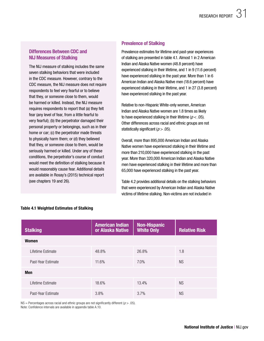# Differences Between CDC and NIJ Measures of Stalking

The NIJ measure of stalking includes the same seven stalking behaviors that were included in the CDC measure. However, contrary to the CDC measure, the NIJ measure does not require respondents to feel very fearful or to believe that they, or someone close to them, would be harmed or killed. Instead, the NIJ measure requires respondents to report that (a) they felt fear (any level of fear, from a little fearful to very fearful); (b) the perpetrator damaged their personal property or belongings, such as in their home or car; (c) the perpetrator made threats to physically harm them; or (d) they believed that they, or someone close to them, would be seriously harmed or killed. Under any of these conditions, the perpetrator's course of conduct would meet the definition of stalking because it would reasonably cause fear. Additional details are available in Rosay's (2015) technical report (see chapters 19 and 26).

# Prevalence of Stalking

Prevalence estimates for lifetime and past-year experiences of stalking are presented in table 4.1. Almost 1 in 2 American Indian and Alaska Native women (48.8 percent) have experienced stalking in their lifetime, and 1 in 9 (11.6 percent) have experienced stalking in the past year. More than 1 in 6 American Indian and Alaska Native men (18.6 percent) have experienced stalking in their lifetime, and 1 in 27 (3.8 percent) have experienced stalking in the past year.

Relative to non-Hispanic White-only women, American Indian and Alaska Native women are 1.8 times as likely to have experienced stalking in their lifetime (*p* < .05). Other differences across racial and ethnic groups are not statistically significant (*p* > .05).

Overall, more than 895,000 American Indian and Alaska Native women have experienced stalking in their lifetime and more than 210,000 have experienced stalking in the past year. More than 320,000 American Indian and Alaska Native men have experienced stalking in their lifetime and more than 65,000 have experienced stalking in the past year.

Table 4.2 provides additional details on the stalking behaviors that were experienced by American Indian and Alaska Native victims of lifetime stalking. Non-victims are not included in

| <b>Stalking</b>    | <b>American Indian</b><br>or Alaska Native | <b>Non-Hispanic</b><br><b>White Only</b> | <b>Relative Risk</b> |
|--------------------|--------------------------------------------|------------------------------------------|----------------------|
| <b>Women</b>       |                                            |                                          |                      |
| Lifetime Estimate  | 48.8%                                      | 26.8%                                    | 1.8                  |
| Past-Year Estimate | 11.6%                                      | 7.0%                                     | <b>NS</b>            |
| <b>Men</b>         |                                            |                                          |                      |
| Lifetime Estimate  | 18.6%                                      | 13.4%                                    | <b>NS</b>            |
| Past-Year Estimate | 3.8%                                       | 3.7%                                     | NS.                  |

#### Table 4.1 Weighted Estimates of Stalking

NS = Percentages across racial and ethnic groups are not significantly different (*p* > .05). Note: Confidence intervals are available in appendix table A.10.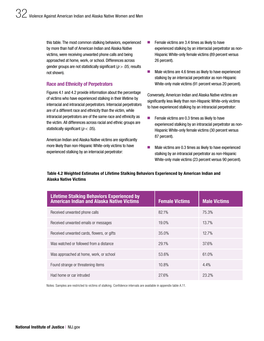this table. The most common stalking behaviors, experienced by more than half of American Indian and Alaska Native victims, were receiving unwanted phone calls and being approached at home, work, or school. Differences across gender groups are not statistically significant (*p* > .05; results not shown).

# Race and Ethnicity of Perpetrators

Figures 4.1 and 4.2 provide information about the percentage of victims who have experienced stalking in their lifetime by interracial and intraracial perpetrators. Interracial perpetrators are of a different race and ethnicity than the victim, while intraracial perpetrators are of the same race and ethnicity as the victim. All differences across racial and ethnic groups are statistically significant (*p* < .05).

American Indian and Alaska Native victims are significantly more likely than non-Hispanic White-only victims to have experienced stalking by an interracial perpetrator:

- Female victims are 3.4 times as likely to have experienced stalking by an interracial perpetrator as non-Hispanic White-only female victims (89 percent versus 26 percent).
- Male victims are 4.6 times as likely to have experienced stalking by an interracial perpetrator as non-Hispanic White-only male victims (91 percent versus 20 percent).

Conversely, American Indian and Alaska Native victims are significantly less likely than non-Hispanic White-only victims to have experienced stalking by an intraracial perpetrator:

- Female victims are 0.3 times as likely to have experienced stalking by an intraracial perpetrator as non-Hispanic White-only female victims (30 percent versus 87 percent).
- Male victims are 0.3 times as likely to have experienced stalking by an intraracial perpetrator as non-Hispanic White-only male victims (23 percent versus 90 percent).

# Table 4.2 Weighted Estimates of Lifetime Stalking Behaviors Experienced by American Indian and Alaska Native Victims

| <b>Lifetime Stalking Behaviors Experienced by</b><br><b>American Indian and Alaska Native Victims</b> | <b>Female Victims</b> | <b>Male Victims</b> |
|-------------------------------------------------------------------------------------------------------|-----------------------|---------------------|
| Received unwanted phone calls                                                                         | 82.1%                 | 75.3%               |
| Received unwanted emails or messages                                                                  | 19.0%                 | $13.7\%$            |
| Received unwanted cards, flowers, or gifts                                                            | 35.0%                 | 12.7%               |
| Was watched or followed from a distance                                                               | 29.1%                 | 37.6%               |
| Was approached at home, work, or school                                                               | 53.6%                 | 61.0%               |
| Found strange or threatening items                                                                    | 10.8%                 | 4.4%                |
| Had home or car intruded                                                                              | 27.6%                 | 23.2%               |

Notes: Samples are restricted to victims of stalking. Confidence intervals are available in appendix table A.11.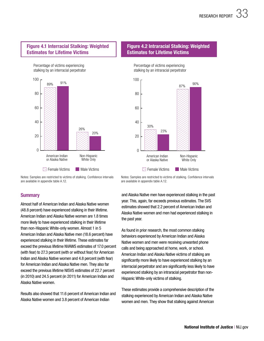# Figure 4.1 Interracial Stalking: Weighted Estimates for Lifetime Victims

Percentage of victims experiencing stalking by an interracial perpetrator



#### Figure 4.2 Intraracial Stalking: Weighted Estimates for Lifetime Victims

Percentage of victims experiencing stalking by an intraracial perpetrator



Notes: Samples are restricted to victims of stalking. Confidence intervals are available in appendix table A.12.

# **Summary**

Almost half of American Indian and Alaska Native women (48.8 percent) have experienced stalking in their lifetime. American Indian and Alaska Native women are 1.8 times more likely to have experienced stalking in their lifetime than non-Hispanic White-only women. Almost 1 in 5 American Indian and Alaska Native men (18.6 percent) have experienced stalking in their lifetime. These estimates far exceed the previous lifetime NVAWS estimates of 17.0 percent (with fear) to 27.3 percent (with or without fear) for American Indian and Alaska Native women and 4.8 percent (with fear) for American Indian and Alaska Native men. They also far exceed the previous lifetime NISVS estimates of 22.7 percent (in 2010) and 24.5 percent (in 2011) for American Indian and Alaska Native women.

Results also showed that 11.6 percent of American Indian and Alaska Native women and 3.8 percent of American Indian

Notes: Samples are restricted to victims of stalking. Confidence intervals are available in appendix table A.12.

and Alaska Native men have experienced stalking in the past year. This, again, far exceeds previous estimates. The SVS estimates showed that 2.2 percent of American Indian and Alaska Native women and men had experienced stalking in the past year.

As found in prior research, the most common stalking behaviors experienced by American Indian and Alaska Native women and men were receiving unwanted phone calls and being approached at home, work, or school. American Indian and Alaska Native victims of stalking are significantly more likely to have experienced stalking by an interracial perpetrator and are significantly less likely to have experienced stalking by an intraracial perpetrator than non-Hispanic White-only victims of stalking.

These estimates provide a comprehensive description of the stalking experienced by American Indian and Alaska Native women and men. They show that stalking against American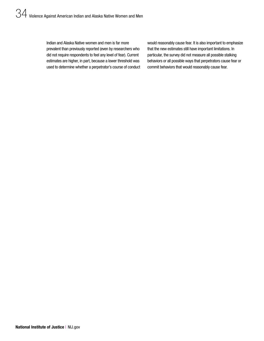Indian and Alaska Native women and men is far more prevalent than previously reported (even by researchers who did not require respondents to feel any level of fear). Current estimates are higher, in part, because a lower threshold was used to determine whether a perpetrator's course of conduct would reasonably cause fear. It is also important to emphasize that the new estimates still have important limitations. In particular, the survey did not measure all possible stalking behaviors or all possible ways that perpetrators cause fear or commit behaviors that would reasonably cause fear.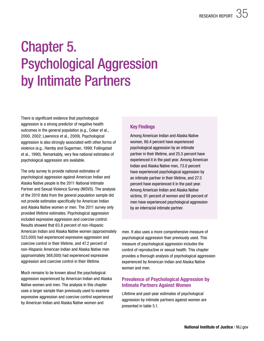# Chapter 5. Psychological Aggression by Intimate Partners

There is significant evidence that psychological aggression is a strong predictor of negative health outcomes in the general population (e.g., Coker et al., 2000, 2002; Lawrence et al., 2009). Psychological aggression is also strongly associated with other forms of violence (e.g., Hamby and Sugarman, 1999; Follingstad et al., 1990). Remarkably, very few national estimates of psychological aggression are available.

The only survey to provide national estimates of psychological aggression against American Indian and Alaska Native people is the 2011 National Intimate Partner and Sexual Violence Survey (NISVS). The analysis of the 2010 data from the general population sample did not provide estimates specifically for American Indian and Alaska Native women or men. The 2011 survey only provided lifetime estimates. Psychological aggression included expressive aggression and coercive control. Results showed that 63.8 percent of non-Hispanic American Indian and Alaska Native women (approximately 523,000) had experienced expressive aggression and coercive control in their lifetime, and 47.2 percent of non-Hispanic American Indian and Alaska Native men (approximately 368,000) had experienced expressive aggression and coercive control in their lifetime.

Much remains to be known about the psychological aggression experienced by American Indian and Alaska Native women and men. The analysis in this chapter uses a larger sample than previously used to examine expressive aggression and coercive control experienced by American Indian and Alaska Native women and

# Key Findings

Among American Indian and Alaska Native women, 66.4 percent have experienced psychological aggression by an intimate partner in their lifetime, and 25.5 percent have experienced it in the past year. Among American Indian and Alaska Native men, 73.0 percent have experienced psychological aggression by an intimate partner in their lifetime, and 27.3 percent have experienced it in the past year. Among American Indian and Alaska Native victims, 91 percent of women and 88 percent of men have experienced psychological aggression by an interracial intimate partner.

men. It also uses a more comprehensive measure of psychological aggression than previously used. This measure of psychological aggression includes the control of reproductive or sexual health. This chapter provides a thorough analysis of psychological aggression experienced by American Indian and Alaska Native women and men.

# Prevalence of Psychological Aggression by Intimate Partners Against Women

Lifetime and past-year estimates of psychological aggression by intimate partners against women are presented in table 5.1.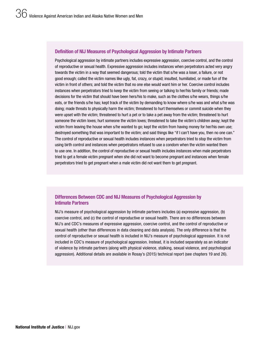# Definition of NIJ Measures of Psychological Aggression by Intimate Partners

Psychological aggression by intimate partners includes expressive aggression, coercive control, and the control of reproductive or sexual health. Expressive aggression includes instances when perpetrators acted very angry towards the victim in a way that seemed dangerous; told the victim that s/he was a loser, a failure, or not good enough; called the victim names like ugly, fat, crazy, or stupid; insulted, humiliated, or made fun of the victim in front of others; and told the victim that no one else would want him or her. Coercive control includes instances when perpetrators tried to keep the victim from seeing or talking to her/his family or friends; made decisions for the victim that should have been hers/his to make, such as the clothes s/he wears, things s/he eats, or the friends s/he has; kept track of the victim by demanding to know where s/he was and what s/he was doing; made threats to physically harm the victim; threatened to hurt themselves or commit suicide when they were upset with the victim; threatened to hurt a pet or to take a pet away from the victim; threatened to hurt someone the victim loves; hurt someone the victim loves; threatened to take the victim's children away; kept the victim from leaving the house when s/he wanted to go; kept the victim from having money for her/his own use; destroyed something that was important to the victim; and said things like "if I can't have you, then no one can." The control of reproductive or sexual health includes instances when perpetrators tried to stop the victim from using birth control and instances when perpetrators refused to use a condom when the victim wanted them to use one. In addition, the control of reproductive or sexual health includes instances when male perpetrators tried to get a female victim pregnant when she did not want to become pregnant and instances when female perpetrators tried to get pregnant when a male victim did not want them to get pregnant.

# Differences Between CDC and NIJ Measures of Psychological Aggression by Intimate Partners

NIJ's measure of psychological aggression by intimate partners includes (a) expressive aggression, (b) coercive control, and (c) the control of reproductive or sexual health. There are no differences between NIJ's and CDC's measures of expressive aggression, coercive control, and the control of reproductive or sexual health (other than differences in data cleaning and data analysis). The only difference is that the control of reproductive or sexual health is included in NIJ's measure of psychological aggression. It is not included in CDC's measure of psychological aggression. Instead, it is included separately as an indicator of violence by intimate partners (along with physical violence, stalking, sexual violence, and psychological aggression). Additional details are available in Rosay's (2015) technical report (see chapters 19 and 26).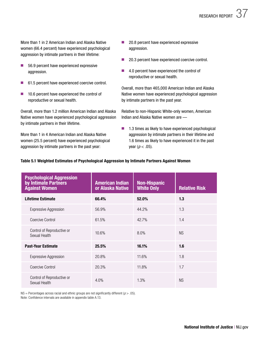More than 1 in 2 American Indian and Alaska Native women (66.4 percent) have experienced psychological aggression by intimate partners in their lifetime:

- 56.9 percent have experienced expressive aggression.
- 61.5 percent have experienced coercive control.
- 10.6 percent have experienced the control of reproductive or sexual health.

Overall, more than 1.2 million American Indian and Alaska Native women have experienced psychological aggression by intimate partners in their lifetime.

More than 1 in 4 American Indian and Alaska Native women (25.5 percent) have experienced psychological aggression by intimate partners in the past year:

- 20.8 percent have experienced expressive aggression.
- 20.3 percent have experienced coercive control.
- 4.0 percent have experienced the control of reproductive or sexual health.

Overall, more than 465,000 American Indian and Alaska Native women have experienced psychological aggression by intimate partners in the past year.

Relative to non-Hispanic White-only women, American Indian and Alaska Native women are —

■ 1.3 times as likely to have experienced psychological aggression by intimate partners in their lifetime and 1.6 times as likely to have experienced it in the past year (*p* < .05).

| <b>Psychological Aggression</b><br>by Intimate Partners<br><b>Against Women</b> | <b>American Indian</b><br>or Alaska Native | <b>Non-Hispanic</b><br><b>White Only</b> | <b>Relative Risk</b> |
|---------------------------------------------------------------------------------|--------------------------------------------|------------------------------------------|----------------------|
| <b>Lifetime Estimate</b>                                                        | 66.4%                                      | 52.0%                                    | 1.3                  |
| <b>Expressive Aggression</b>                                                    | 56.9%                                      | 44.2%                                    | 1.3                  |
| Coercive Control                                                                | 61.5%                                      | 42.7%                                    | 1.4                  |
| Control of Reproductive or<br>Sexual Health                                     | 10.6%                                      | 8.0%                                     | <b>NS</b>            |
| <b>Past-Year Estimate</b>                                                       | 25.5%                                      | 16.1%                                    | 1.6                  |
| <b>Expressive Aggression</b>                                                    | 20.8%                                      | 11.6%                                    | 1.8                  |
| Coercive Control                                                                | 20.3%                                      | 11.8%                                    | 1.7                  |
| Control of Reproductive or<br>Sexual Health                                     | 4.0%                                       | 1.3%                                     | <b>NS</b>            |

#### Table 5.1 Weighted Estimates of Psychological Aggression by Intimate Partners Against Women

 $NS =$  Percentages across racial and ethnic groups are not significantly different ( $p > .05$ ).

Note: Confidence intervals are available in appendix table A.13.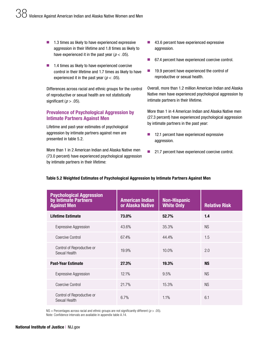- 1.3 times as likely to have experienced expressive aggression in their lifetime and 1.8 times as likely to have experienced it in the past year ( $p < .05$ ).
- 1.4 times as likely to have experienced coercive control in their lifetime and 1.7 times as likely to have experienced it in the past year ( $p < .05$ ).

Differences across racial and ethnic groups for the control of reproductive or sexual health are not statistically significant ( $p > .05$ ).

### Prevalence of Psychological Aggression by Intimate Partners Against Men

Lifetime and past-year estimates of psychological aggression by intimate partners against men are presented in table 5.2.

More than 1 in 2 American Indian and Alaska Native men (73.0 percent) have experienced psychological aggression by intimate partners in their lifetime:

- 43.6 percent have experienced expressive aggression.
- 67.4 percent have experienced coercive control.
- 19.9 percent have experienced the control of reproductive or sexual health.

Overall, more than 1.2 million American Indian and Alaska Native men have experienced psychological aggression by intimate partners in their lifetime.

More than 1 in 4 American Indian and Alaska Native men (27.3 percent) have experienced psychological aggression by intimate partners in the past year:

- 12.1 percent have experienced expressive aggression.
- 21.7 percent have experienced coercive control.

| <b>Psychological Aggression</b><br>by Intimate Partners<br><b>Against Men</b> | <b>American Indian</b><br>or Alaska Native | <b>Non-Hispanic</b><br><b>White Only</b> | <b>Relative Risk</b> |
|-------------------------------------------------------------------------------|--------------------------------------------|------------------------------------------|----------------------|
| <b>Lifetime Estimate</b>                                                      | 73.0%                                      | 52.7%                                    | 1.4                  |
| <b>Expressive Aggression</b>                                                  | 43.6%                                      | 35.3%                                    | <b>NS</b>            |
| Coercive Control                                                              | 67.4%                                      | 44.4%                                    | 1.5                  |
| Control of Reproductive or<br>Sexual Health                                   | 19.9%                                      | $10.0\%$                                 | 2.0                  |
| <b>Past-Year Estimate</b>                                                     | 27.3%                                      | 19.3%                                    | <b>NS</b>            |
| <b>Expressive Aggression</b>                                                  | 12.1%                                      | 9.5%                                     | <b>NS</b>            |
| Coercive Control                                                              | 21.7%                                      | 15.3%                                    | <b>NS</b>            |
| Control of Reproductive or<br>Sexual Health                                   | 6.7%                                       | 1.1%                                     | 6.1                  |

#### Table 5.2 Weighted Estimates of Psychological Aggression by Intimate Partners Against Men

NS = Percentages across racial and ethnic groups are not significantly different (*p* > .05). Note: Confidence intervals are available in appendix table A.14.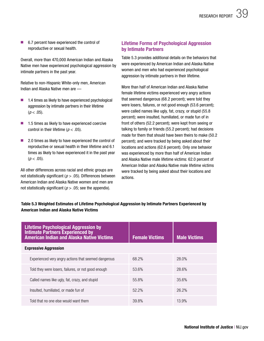■ 6.7 percent have experienced the control of reproductive or sexual health.

Overall, more than 470,000 American Indian and Alaska Native men have experienced psychological aggression by intimate partners in the past year.

Relative to non-Hispanic White-only men, American Indian and Alaska Native men are —

- 1.4 times as likely to have experienced psychological aggression by intimate partners in their lifetime  $(p < .05)$ .
- 1.5 times as likely to have experienced coercive control in their lifetime (*p* < .05).
- 2.0 times as likely to have experienced the control of reproductive or sexual health in their lifetime and 6.1 times as likely to have experienced it in the past year  $(p < .05)$ .

All other differences across racial and ethnic groups are not statistically significant (*p* > .05). Differences between American Indian and Alaska Native women and men are not statistically significant ( $p > .05$ ; see the appendix).

# Lifetime Forms of Psychological Aggression by Intimate Partners

Table 5.3 provides additional details on the behaviors that were experienced by American Indian and Alaska Native women and men who had experienced psychological aggression by intimate partners in their lifetime.

More than half of American Indian and Alaska Native female lifetime victims experienced very angry actions that seemed dangerous (68.2 percent); were told they were losers, failures, or not good enough (53.6 percent); were called names like ugly, fat, crazy, or stupid (55.8 percent); were insulted, humiliated, or made fun of in front of others (52.2 percent); were kept from seeing or talking to family or friends (55.2 percent); had decisions made for them that should have been theirs to make (50.2 percent); and were tracked by being asked about their locations and actions (62.6 percent). Only one behavior was experienced by more than half of American Indian and Alaska Native male lifetime victims: 62.0 percent of American Indian and Alaska Native male lifetime victims were tracked by being asked about their locations and actions.

# Table 5.3 Weighted Estimates of Lifetime Psychological Aggression by Intimate Partners Experienced by American Indian and Alaska Native Victims

| Lifetime Psychological Aggression by<br><b>Intimate Partners Experienced by</b><br><b>American Indian and Alaska Native Victims</b> | <b>Female Victims</b> | <b>Male Victims</b> |
|-------------------------------------------------------------------------------------------------------------------------------------|-----------------------|---------------------|
| <b>Expressive Aggression</b>                                                                                                        |                       |                     |
| Experienced very angry actions that seemed dangerous                                                                                | 68.2%                 | 28.0%               |
| Told they were losers, failures, or not good enough                                                                                 | 53.6%                 | 28.6%               |
| Called names like ugly, fat, crazy, and stupid                                                                                      | 55.8%                 | 35.6%               |
| Insulted, humiliated, or made fun of                                                                                                | $52.2\%$              | 26.2%               |
| Told that no one else would want them                                                                                               | 39.8%                 | 13.9%               |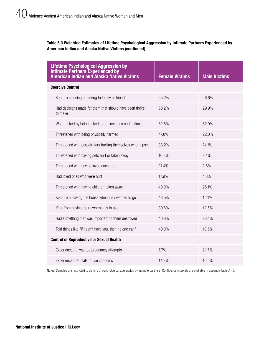# Table 5.3 Weighted Estimates of Lifetime Psychological Aggression by Intimate Partners Experienced by American Indian and Alaska Native Victims (continued)

| <b>Lifetime Psychological Aggression by</b><br><b>Intimate Partners Experienced by</b><br>American Indian and Alaska Native Victims | <b>Female Victims</b> | <b>Male Victims</b> |  |
|-------------------------------------------------------------------------------------------------------------------------------------|-----------------------|---------------------|--|
| <b>Coercive Control</b>                                                                                                             |                       |                     |  |
| Kept from seeing or talking to family or friends                                                                                    | 55.2%                 | 26.6%               |  |
| Had decisions made for them that should have been theirs<br>to make                                                                 | 50.2%                 | 29.9%               |  |
| Was tracked by being asked about locations and actions                                                                              | 62.6%                 | 62.0%               |  |
| Threatened with being physically harmed                                                                                             | 47.8%                 | 22.0%               |  |
| Threatened with perpetrators hurting themselves when upset                                                                          | 38.2%                 | 24.1%               |  |
| Threatened with having pets hurt or taken away                                                                                      | 16.8%                 | 2.4%                |  |
| Threatened with having loved ones hurt                                                                                              | 21.4%                 | 2.6%                |  |
| Had loved ones who were hurt                                                                                                        | 17.9%                 | 4.8%                |  |
| Threatened with having children taken away                                                                                          | 40.0%                 | 25.1%               |  |
| Kept from leaving the house when they wanted to go                                                                                  | 43.5%                 | 16.1%               |  |
| Kept from having their own money to use                                                                                             | 30.6%                 | 12.5%               |  |
| Had something that was important to them destroyed                                                                                  | 40.8%                 | 28.4%               |  |
| Told things like "If I can't have you, then no one can"                                                                             | 40.0%                 | 18.5%               |  |
| <b>Control of Reproductive or Sexual Health</b>                                                                                     |                       |                     |  |
| Experienced unwanted pregnancy attempts                                                                                             | 7.7%                  | 21.7%               |  |
| Experienced refusals to use condoms                                                                                                 | 14.2%                 | 16.5%               |  |

Notes: Samples are restricted to victims of psychological aggression by intimate partners. Confidence intervals are available in appendix table A.15.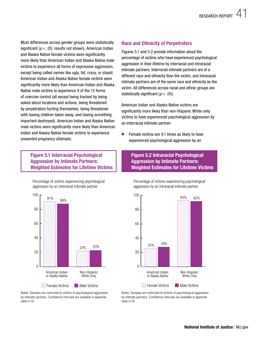Most differences across gender groups were statistically significant (*p* < .05; results not shown). American Indian and Alaska Native female victims were significantly more likely than American Indian and Alaska Native male victims to experience all forms of expressive aggression, except being called names like ugly, fat, crazy, or stupid. American Indian and Alaska Native female victims were significantly more likely than American Indian and Alaska Native male victims to experience 9 of the 13 forms of coercive control (all except being tracked by being asked about locations and actions, being threatened by perpetrators hurting themselves, being threatened with having children taken away, and having something important destroyed). American Indian and Alaska Native male victims were significantly more likely than American Indian and Alaska Native female victims to experience unwanted pregnancy attempts.

# Figure 5.1 Interracial Psychological Aggression by Intimate Partners: Weighted Estimates for Lifetime Victims

Percentage of victims experiencing psychological aggression by an interracial intimate partner



#### Notes: Samples are restricted to victims of psychological aggression by intimate partners. Confidence intervals are available in appendix table A.16.

#### Race and Ethnicity of Perpetrators

Figures 5.1 and 5.2 provide information about the percentage of victims who have experienced psychological aggression in their lifetime by interracial and intraracial intimate partners. Interracial intimate partners are of a different race and ethnicity than the victim, and intraracial intimate partners are of the same race and ethnicity as the victim. All differences across racial and ethnic groups are statistically significant (*p* < .05).

American Indian and Alaska Native victims are significantly more likely than non-Hispanic White-only victims to have experienced psychological aggression by an interracial intimate partner:

■ Female victims are 4.1 times as likely to have experienced psychological aggression by an

# Figure 5.2 Intraracial Psychological Aggression by Intimate Partners: Weighted Estimates for Lifetime Victims

Percentage of victims experiencing psychological aggression by an intraracial intimate partner



Notes: Samples are restricted to victims of psychological aggression by intimate partners. Confidence intervals are available in appendix table A.16.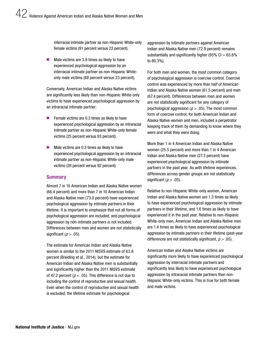interracial intimate partner as non-Hispanic White-only female victims (91 percent versus 22 percent).

■ Male victims are 3.8 times as likely to have experienced psychological aggression by an interracial intimate partner as non-Hispanic Whiteonly male victims (88 percent versus 23 percent).

Conversely, American Indian and Alaska Native victims are significantly less likely than non-Hispanic White-only victims to have experienced psychological aggression by an intraracial intimate partner:

- Female victims are 0.3 times as likely to have experienced psychological aggression by an intraracial intimate partner as non-Hispanic White-only female victims (25 percent versus 93 percent).
- Male victims are 0.3 times as likely to have experienced psychological aggression by an intraracial intimate partner as non-Hispanic White-only male victims (28 percent versus 92 percent).

#### **Summary**

Almost 7 in 10 American Indian and Alaska Native women (66.4 percent) and more than 7 in 10 American Indian and Alaska Native men (73.0 percent) have experienced psychological aggression by intimate partners in their lifetime. It is important to emphasize that not all forms of psychological aggression are included, and psychological aggression by non-intimate partners is not included. Differences between men and women are not statistically significant ( $p > .05$ ).

The estimate for American Indian and Alaska Native women is similar to the 2011 NISVS estimate of 63.8 percent (Breiding et al., 2014), but the estimate for American Indian and Alaska Native men is substantially and significantly higher than the 2011 NISVS estimate of 47.2 percent ( $p < .05$ ). This difference is not due to including the control of reproductive and sexual health. Even when the control of reproductive and sexual health is excluded, the lifetime estimate for psychological

aggression by intimate partners against American Indian and Alaska Native men (72.9 percent) remains substantially and significantly higher (95%  $Cl = 65.6\%$ ) to 80.3%).

For both men and women, the most common category of psychological aggression is coercive control. Coercive control was experienced by more than half of American Indian and Alaska Native women (61.5 percent) and men (67.4 percent). Differences between men and women are not statistically significant for any category of psychological aggression (*p* > .05). The most common form of coercive control, for both American Indian and Alaska Native women and men, included a perpetrator keeping track of them by demanding to know where they were and what they were doing.

More than 1 in 4 American Indian and Alaska Native women (25.5 percent) and more than 1 in 4 American Indian and Alaska Native men (27.3 percent) have experienced psychological aggression by intimate partners in the past year. As with lifetime experiences, differences across gender groups are not statistically significant ( $p > .05$ ).

Relative to non-Hispanic White-only women, American Indian and Alaska Native women are 1.3 times as likely to have experienced psychological aggression by intimate partners in their lifetime, and 1.6 times as likely to have experienced it in the past year. Relative to non-Hispanic White-only men, American Indian and Alaska Native men are 1.4 times as likely to have experienced psychological aggression by intimate partners in their lifetime (past-year differences are not statistically significant, *p* > .05).

American Indian and Alaska Native victims are significantly more likely to have experienced psychological aggression by interracial intimate partners and significantly less likely to have experienced psychological aggression by intraracial intimate partners than non-Hispanic White-only victims. This is true for both female and male victims.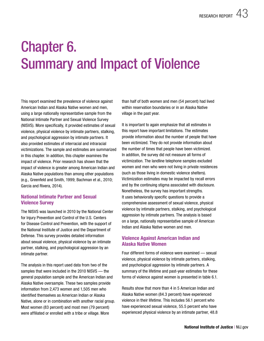# Chapter 6. Summary and Impact of Violence

This report examined the prevalence of violence against American Indian and Alaska Native women and men, using a large nationally representative sample from the National Intimate Partner and Sexual Violence Survey (NISVS). More specifically, it provided estimates of sexual violence, physical violence by intimate partners, stalking, and psychological aggression by intimate partners. It also provided estimates of interracial and intraracial victimizations. The sample and estimates are summarized in this chapter. In addition, this chapter examines the impact of violence. Prior research has shown that the impact of violence is greater among American Indian and Alaska Native populations than among other populations (e.g., Greenfeld and Smith, 1999; Bachman et al., 2010; Garcia and Rivera, 2014).

#### National Intimate Partner and Sexual Violence Survey

The NISVS was launched in 2010 by the National Center for Injury Prevention and Control of the U.S. Centers for Disease Control and Prevention, with the support of the National Institute of Justice and the Department of Defense. This survey provides detailed information about sexual violence, physical violence by an intimate partner, stalking, and psychological aggression by an intimate partner.

The analysis in this report used data from two of the samples that were included in the 2010 NISVS — the general population sample and the American Indian and Alaska Native oversample. These two samples provide information from 2,473 women and 1,505 men who identified themselves as American Indian or Alaska Native, alone or in combination with another racial group. Most women (83 percent) and most men (79 percent) were affiliated or enrolled with a tribe or village. More

than half of both women and men (54 percent) had lived within reservation boundaries or in an Alaska Native village in the past year.

It is important to again emphasize that all estimates in this report have important limitations. The estimates provide information about the number of people that have been victimized. They do not provide information about the number of times that people have been victimized. In addition, the survey did not measure all forms of victimization. The landline telephone samples excluded women and men who were not living in private residences (such as those living in domestic violence shelters). Victimization estimates may be impacted by recall errors and by the continuing stigma associated with disclosure. Nonetheless, the survey has important strengths. It uses behaviorally specific questions to provide a comprehensive assessment of sexual violence, physical violence by intimate partners, stalking, and psychological aggression by intimate partners. The analysis is based on a large, nationally representative sample of American Indian and Alaska Native women and men.

# Violence Against American Indian and Alaska Native Women

Four different forms of violence were examined — sexual violence, physical violence by intimate partners, stalking, and psychological aggression by intimate partners. A summary of the lifetime and past-year estimates for these forms of violence against women is presented in table 6.1.

Results show that more than 4 in 5 American Indian and Alaska Native women (84.3 percent) have experienced violence in their lifetime. This includes 56.1 percent who have experienced sexual violence, 55.5 percent who have experienced physical violence by an intimate partner, 48.8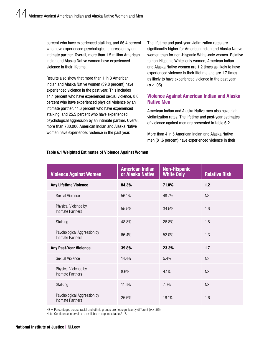percent who have experienced stalking, and 66.4 percent who have experienced psychological aggression by an intimate partner. Overall, more than 1.5 million American Indian and Alaska Native women have experienced violence in their lifetime.

Results also show that more than 1 in 3 American Indian and Alaska Native women (39.8 percent) have experienced violence in the past year. This includes 14.4 percent who have experienced sexual violence, 8.6 percent who have experienced physical violence by an intimate partner, 11.6 percent who have experienced stalking, and 25.5 percent who have experienced psychological aggression by an intimate partner. Overall, more than 730,000 American Indian and Alaska Native women have experienced violence in the past year.

The lifetime and past-year victimization rates are significantly higher for American Indian and Alaska Native women than for non-Hispanic White-only women. Relative to non-Hispanic White-only women, American Indian and Alaska Native women are 1.2 times as likely to have experienced violence in their lifetime and are 1.7 times as likely to have experienced violence in the past year  $(p < .05)$ .

# Violence Against American Indian and Alaska Native Men

American Indian and Alaska Native men also have high victimization rates. The lifetime and past-year estimates of violence against men are presented in table 6.2.

More than 4 in 5 American Indian and Alaska Native men (81.6 percent) have experienced violence in their

| <b>Violence Against Women</b>                    | <b>American Indian</b><br>or Alaska Native | <b>Non-Hispanic</b><br><b>White Only</b> | <b>Relative Risk</b> |
|--------------------------------------------------|--------------------------------------------|------------------------------------------|----------------------|
| <b>Any Lifetime Violence</b>                     | 84.3%                                      | 71.0%                                    | 1.2                  |
| Sexual Violence                                  | 56.1%                                      | 49.7%                                    | <b>NS</b>            |
| Physical Violence by<br>Intimate Partners        | 55.5%                                      | 34.5%                                    | 1.6                  |
| Stalking                                         | 48.8%                                      | 26.8%                                    | 1.8                  |
| Psychological Aggression by<br>Intimate Partners | 66.4%                                      | 52.0%                                    | 1.3                  |
| <b>Any Past-Year Violence</b>                    | 39.8%                                      | 23.3%                                    | 1.7                  |
| Sexual Violence                                  | 14.4%                                      | 5.4%                                     | <b>NS</b>            |
| Physical Violence by<br>Intimate Partners        | 8.6%                                       | 4.1%                                     | <b>NS</b>            |
| Stalking                                         | 11.6%                                      | 7.0%                                     | <b>NS</b>            |
| Psychological Aggression by<br>Intimate Partners | 25.5%                                      | 16.1%                                    | 1.6                  |

#### Table 6.1 Weighted Estimates of Violence Against Women

NS = Percentages across racial and ethnic groups are not significantly different (*p* > .05). Note: Confidence intervals are available in appendix table A.17.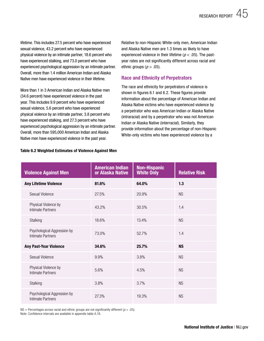lifetime. This includes 27.5 percent who have experienced sexual violence, 43.2 percent who have experienced physical violence by an intimate partner, 18.6 percent who have experienced stalking, and 73.0 percent who have experienced psychological aggression by an intimate partner. Overall, more than 1.4 million American Indian and Alaska Native men have experienced violence in their lifetime.

More than 1 in 3 American Indian and Alaska Native men (34.6 percent) have experienced violence in the past year. This includes 9.9 percent who have experienced sexual violence, 5.6 percent who have experienced physical violence by an intimate partner, 3.8 percent who have experienced stalking, and 27.3 percent who have experienced psychological aggression by an intimate partner. Overall, more than 595,000 American Indian and Alaska Native men have experienced violence in the past year.

#### Table 6.2 Weighted Estimates of Violence Against Men

Relative to non-Hispanic White-only men, American Indian and Alaska Native men are 1.3 times as likely to have experienced violence in their lifetime (*p* < .05). The pastyear rates are not significantly different across racial and ethnic groups ( $p > .05$ ).

#### Race and Ethnicity of Perpetrators

The race and ethnicity for perpetrators of violence is shown in figures 6.1 and 6.2. These figures provide information about the percentage of American Indian and Alaska Native victims who have experienced violence by a perpetrator who was American Indian or Alaska Native (intraracial) and by a perpetrator who was not American Indian or Alaska Native (interracial). Similarly, they provide information about the percentage of non-Hispanic White-only victims who have experienced violence by a

| <b>Violence Against Men</b>                      | <b>American Indian</b><br>or Alaska Native | <b>Non-Hispanic</b><br><b>White Only</b> | <b>Relative Risk</b> |
|--------------------------------------------------|--------------------------------------------|------------------------------------------|----------------------|
| <b>Any Lifetime Violence</b>                     | 81.6%                                      | 64.0%                                    | 1.3                  |
| Sexual Violence                                  | 27.5%                                      | 20.9%                                    | <b>NS</b>            |
| Physical Violence by<br>Intimate Partners        | 43.2%                                      | 30.5%                                    | 1.4                  |
| Stalking                                         | 18.6%                                      | 13.4%                                    | <b>NS</b>            |
| Psychological Aggression by<br>Intimate Partners | 73.0%                                      | 52.7%                                    | 1.4                  |
| <b>Any Past-Year Violence</b>                    | 34.6%                                      | 25.7%                                    | <b>NS</b>            |
| Sexual Violence                                  | 9.9%                                       | 3.8%                                     | <b>NS</b>            |
| Physical Violence by<br>Intimate Partners        | 5.6%                                       | 4.5%                                     | <b>NS</b>            |
| Stalking                                         | 3.8%                                       | 3.7%                                     | <b>NS</b>            |
| Psychological Aggression by<br>Intimate Partners | 27.3%                                      | 19.3%                                    | <b>NS</b>            |

NS = Percentages across racial and ethnic groups are not significantly different (*p* > .05). Note: Confidence intervals are available in appendix table A.18.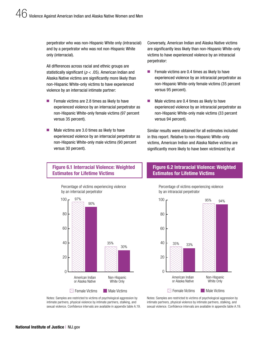perpetrator who was non-Hispanic White only (intraracial) and by a perpetrator who was not non-Hispanic White only (interracial).

All differences across racial and ethnic groups are statistically significant (*p* < .05). American Indian and Alaska Native victims are significantly more likely than non-Hispanic White-only victims to have experienced violence by an interracial intimate partner:

- Female victims are 2.8 times as likely to have experienced violence by an interracial perpetrator as non-Hispanic White-only female victims (97 percent versus 35 percent).
- Male victims are 3.0 times as likely to have experienced violence by an interracial perpetrator as non-Hispanic White-only male victims (90 percent versus 30 percent).

Conversely, American Indian and Alaska Native victims are significantly less likely than non-Hispanic White-only victims to have experienced violence by an intraracial perpetrator:

- Female victims are 0.4 times as likely to have experienced violence by an intraracial perpetrator as non-Hispanic White-only female victims (35 percent versus 95 percent).
- Male victims are 0.4 times as likely to have experienced violence by an intraracial perpetrator as non-Hispanic White-only male victims (33 percent versus 94 percent).

Similar results were obtained for all estimates included in this report. Relative to non-Hispanic White-only victims, American Indian and Alaska Native victims are significantly more likely to have been victimized by at

# Figure 6.1 Interracial Violence: Weighted Estimates for Lifetime Victims

Percentage of victims experiencing violence by an interracial perpetrator



# Figure 6.2 Intraracial Violence: Weighted Estimates for Lifetime Victims

Percentage of victims experiencing violence by an intraracial perpetrator



Notes: Samples are restricted to victims of psychological aggression by intimate partners, physical violence by intimate partners, stalking, and sexual violence. Confidence intervals are available in appendix table A.19.

Notes: Samples are restricted to victims of psychological aggression by intimate partners, physical violence by intimate partners, stalking, and sexual violence. Confidence intervals are available in appendix table A.19.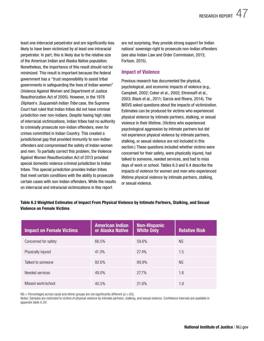least one interracial perpetrator and are significantly less likely to have been victimized by at least one intraracial perpetrator. In part, this is likely due to the relative size of the American Indian and Alaska Native population. Nonetheless, the importance of this result should not be minimized. This result is important because the federal government has a "trust responsibility to assist tribal governments in safeguarding the lives of Indian women" (Violence Against Women and Department of Justice Reauthorization Act of 2005). However, in the 1978 *Oliphant* v. *Suquamish Indian Tribe* case, the Supreme Court had ruled that Indian tribes did not have criminal jurisdiction over non-Indians. Despite having high rates of interracial victimizations, Indian tribes had no authority to criminally prosecute non-Indian offenders, even for crimes committed in Indian Country. This created a jurisdictional gap that provided immunity to non-Indian offenders and compromised the safety of Indian women and men. To partially correct this problem, the Violence Against Women Reauthorization Act of 2013 provided special domestic violence criminal jurisdiction to Indian tribes. This special jurisdiction provides Indian tribes that meet certain conditions with the ability to prosecute certain cases with non-Indian offenders. While the results on interracial and intraracial victimizations in this report

are not surprising, they provide strong support for Indian nations' sovereign right to prosecute non-Indian offenders (see also Indian Law and Order Commission, 2013; Fortson, 2015).

#### Impact of Violence

Previous research has documented the physical, psychological, and economic impacts of violence (e.g., Campbell, 2002; Coker et al., 2002; Ehrensaft et al., 2003; Black et al., 2011; Garcia and Rivera, 2014). The NISVS asked questions about the impacts of victimization. Estimates can be produced for victims who experienced physical violence by intimate partners, stalking, or sexual violence in their lifetime. (Victims who experienced psychological aggression by intimate partners but did not experience physical violence by intimate partners, stalking, or sexual violence are not included in this section.) These questions included whether victims were concerned for their safety, were physically injured, had talked to someone, needed services, and had to miss days of work or school. Tables 6.3 and 6.4 describe the impacts of violence for women and men who experienced lifetime physical violence by intimate partners, stalking, or sexual violence.

Table 6.3 Weighted Estimates of Impact From Physical Violence by Intimate Partners, Stalking, and Sexual Violence on Female Victims

| <b>Impact on Female Victims</b> | <b>American Indian</b><br>or Alaska Native | <b>Non-Hispanic</b><br><b>White Only</b> | <b>Relative Risk</b> |
|---------------------------------|--------------------------------------------|------------------------------------------|----------------------|
| Concerned for safety            | 66.5%                                      | 59.6%                                    | <b>NS</b>            |
| Physically injured              | 41.3%                                      | 27.4%                                    | 1.5                  |
| Talked to someone               | 92.6%                                      | 89.9%                                    | <b>NS</b>            |
| Needed services                 | 49.0%                                      | 27.7%                                    | 1.8                  |
| Missed work/school              | 40.5%                                      | 21.6%                                    | 1.9                  |

NS = Percentages across racial and ethnic groups are not significantly different (*p* >.05).

Notes: Samples are restricted to victims of physical violence by intimate partners, stalking, and sexual violence. Confidence intervals are available in appendix table A.20.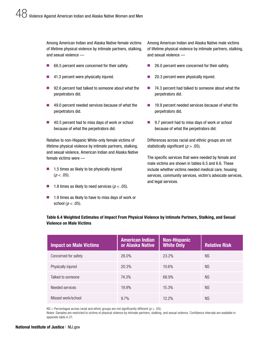Among American Indian and Alaska Native female victims of lifetime physical violence by intimate partners, stalking, and sexual violence —

- 66.5 percent were concerned for their safety.
- 41.3 percent were physically injured.
- 92.6 percent had talked to someone about what the perpetrators did.
- 49.0 percent needed services because of what the perpetrators did.
- 40.5 percent had to miss days of work or school because of what the perpetrators did.

Relative to non-Hispanic White-only female victims of lifetime physical violence by intimate partners, stalking, and sexual violence, American Indian and Alaska Native female victims were —

- 1.5 times as likely to be physically injured  $(p < .05)$ .
- 1.8 times as likely to need services (*p* < .05).
- 1.9 times as likely to have to miss days of work or school ( $p < .05$ ).

Among American Indian and Alaska Native male victims of lifetime physical violence by intimate partners, stalking, and sexual violence —

- 26.0 percent were concerned for their safety.
- 20.3 percent were physically injured.
- 74.3 percent had talked to someone about what the perpetrators did.
- 19.9 percent needed services because of what the perpetrators did.
- 9.7 percent had to miss days of work or school because of what the perpetrators did.

Differences across racial and ethnic groups are not statistically significant (*p* > .05).

The specific services that were needed by female and male victims are shown in tables 6.5 and 6.6. These include whether victims needed medical care, housing services, community services, victim's advocate services, and legal services.

| <b>Impact on Male Victims</b> | <b>American Indian</b><br>or Alaska Native | <b>Non-Hispanic</b><br><b>White Only</b> | <b>Relative Risk</b> |
|-------------------------------|--------------------------------------------|------------------------------------------|----------------------|
| Concerned for safety          | 26.0%                                      | 23.2%                                    | NS.                  |
| Physically injured            | 20.3%                                      | 10.6%                                    | NS.                  |
| Talked to someone             | 74.3%                                      | 68.9%                                    | <b>NS</b>            |
| Needed services               | 19.9%                                      | 15.3%                                    | NS.                  |
| Missed work/school            | $9.7\%$                                    | 12.2%                                    | NS.                  |

# Table 6.4 Weighted Estimates of Impact From Physical Violence by Intimate Partners, Stalking, and Sexual Violence on Male Victims

 $NS =$  Percentages across racial and ethnic groups are not significantly different ( $p > .05$ ).

Notes: Samples are restricted to victims of physical violence by intimate partners, stalking, and sexual violence. Confidence intervals are available in appendix table A.21.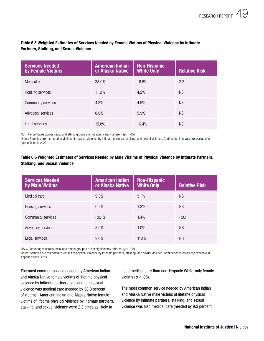#### Table 6.5 Weighted Estimates of Services Needed by Female Victims of Physical Violence by Intimate Partners, Stalking, and Sexual Violence

| <b>Services Needed</b><br>by Female Victims | <b>American Indian</b><br>or Alaska Native | <b>Non-Hispanic</b><br><b>White Only</b> | <b>Relative Risk</b> |
|---------------------------------------------|--------------------------------------------|------------------------------------------|----------------------|
| Medical care                                | 38.0%                                      | 16.6%                                    | 2.3                  |
| Housing services                            | 11.2%                                      | $4.2\%$                                  | NS.                  |
| Community services                          | 4.3%                                       | 4.6%                                     | <b>NS</b>            |
| Advocacy services                           | 8.8%                                       | 5.9%                                     | <b>NS</b>            |
| Legal services                              | 15.8%                                      | 16.4%                                    | <b>NS</b>            |

NS = Percentages across racial and ethnic groups are not significantly different (*p* > .05).

Notes: Samples are restricted to victims of physical violence by intimate partners, stalking, and sexual violence. Confidence intervals are available in appendix table A.22.

#### Table 6.6 Weighted Estimates of Services Needed by Male Victims of Physical Violence by Intimate Partners, Stalking, and Sexual Violence

| <b>Services Needed</b><br>by Male Victims | <b>American Indian</b><br>or Alaska Native | <b>Non-Hispanic</b><br><b>White Only</b> | <b>Relative Risk</b> |
|-------------------------------------------|--------------------------------------------|------------------------------------------|----------------------|
| Medical care                              | 9.3%                                       | 5.1%                                     | <b>NS</b>            |
| Housing services                          | 0.7%                                       | 1.3%                                     | <b>NS</b>            |
| Community services                        | $< 0.1\%$                                  | 1.4%                                     | < 0.1                |
| Advocacy services                         | 3.0%                                       | 1.0%                                     | NS.                  |
| Legal services                            | $9.0\%$                                    | 11.1%                                    | <b>NS</b>            |

 $NS =$  Percentages across racial and ethnic groups are not significantly different ( $p > .05$ ).

Notes: Samples are restricted to victims of physical violence by intimate partners, stalking, and sexual violence. Confidence intervals are available in appendix table A.23.

and Alaska Native female victims of lifetime physical victims ( $p < .05$ ). violence by intimate partners, stalking, and sexual violence was medical care (needed by 38.0 percent The most common service needed by American Indian of victims). American Indian and Alaska Native female and Alaska Native male victims of lifetime physical victims of lifetime physical violence by intimate partners, violence by intimate partners, stalking, and sexual stalking, and sexual violence were 2.3 times as likely to violence was also medical care (needed by 9.3 percent

The most common service needed by American Indian need medical care than non-Hispanic White-only female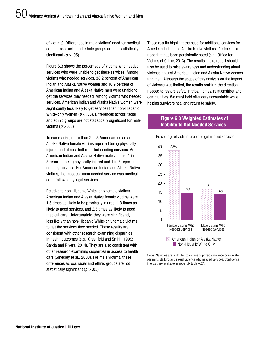of victims). Differences in male victims' need for medical care across racial and ethnic groups are not statistically significant ( $p > .05$ ).

Figure 6.3 shows the percentage of victims who needed services who were unable to get these services. Among victims who needed services, 38.2 percent of American Indian and Alaska Native women and 16.9 percent of American Indian and Alaska Native men were unable to get the services they needed. Among victims who needed services, American Indian and Alaska Native women were significantly less likely to get services than non-Hispanic White-only women (*p* < .05). Differences across racial and ethnic groups are not statistically significant for male victims ( $p > .05$ ).

To summarize, more than 2 in 5 American Indian and Alaska Native female victims reported being physically injured and almost half reported needing services. Among American Indian and Alaska Native male victims, 1 in 5 reported being physically injured and 1 in 5 reported needing services. For American Indian and Alaska Native victims, the most common needed service was medical care, followed by legal services.

Relative to non-Hispanic White-only female victims, American Indian and Alaska Native female victims were 1.5 times as likely to be physically injured, 1.8 times as likely to need services, and 2.3 times as likely to need medical care. Unfortunately, they were significantly less likely than non-Hispanic White-only female victims to get the services they needed. These results are consistent with other research examining disparities in health outcomes (e.g., Greenfeld and Smith, 1999; Garcia and Rivera, 2014). They are also consistent with other research examining disparities in access to health care (Smedley et al., 2003). For male victims, these differences across racial and ethnic groups are not statistically significant ( $p > .05$ ).

These results highlight the need for additional services for American Indian and Alaska Native victims of crime — a need that has been persistently noted (e.g., Office for Victims of Crime, 2013). The results in this report should also be used to raise awareness and understanding about violence against American Indian and Alaska Native women and men. Although the scope of this analysis on the impact of violence was limited, the results reaffirm the direction needed to restore safety in tribal homes, relationships, and communities. We must hold offenders accountable while helping survivors heal and return to safety.

# Figure 6.3 Weighted Estimates of Inability to Get Needed Services



Percentage of victims unable to get needed services

Notes: Samples are restricted to victims of physical violence by intimate partners, stalking and sexual violence who needed services. Confidence intervals are available in appendix table A.24.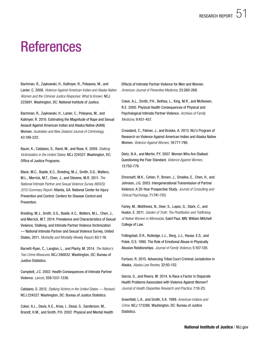# References

Bachman, R., Zaykowski, H., Kallmyer, R., Poteyeva, M., and Lanier, C. 2008. *Violence Against American Indian and Alaska Native Women and the Criminal Justice Response: What Is Known.* NCJ 223691. Washington, DC: National Institute of Justice.

Bachman, R., Zaykowski, H., Lanier, C., Poteyeva, M., and Kallmyer, R. 2010. Estimating the Magnitude of Rape and Sexual Assault Against American Indian and Alaska Native (AIAN) Women. *Australian and New Zealand Journal of Criminology*, 43:199-222.

Baum, K., Catalano, S., Rand, M., and Rose, K. 2009. *Stalking Victimization in the United States*. NCJ 224527. Washington, DC: Office of Justice Programs.

Black, M.C., Basile, K.C., Breiding, M.J., Smith, S.G., Walters, M.L., Merrick, M.T., Chen, J., and Stevens, M.R. 2011. *The National Intimate Partner and Sexual Violence Survey (NISVS): 2010 Summary Report.* Atlanta, GA: National Center for Injury Prevention and Control, Centers for Disease Control and Prevention.

Breiding, M.J., Smith, S.G., Basile, K.C., Walters, M.L., Chen, J., and Merrick, M.T. 2014. Prevalence and Characteristics of Sexual Violence, Stalking, and Intimate Partner Violence Victimization — National Intimate Partner and Sexual Violence Survey, United States, 2011. *Morbidity and Mortality Weekly Report*, 63:1-18.

Barnett-Ryan, C., Langton, L., and Planty, M. 2014. *The Nation's Two Crime Measures*. NCJ 246832. Washington, DC: Bureau of Justice Statistics.

Campbell, J.C. 2002. Health Consequences of Intimate Partner Violence. *Lancet*, 359:1331-1336.

Catalano, S. 2012. *Stalking Victims in the United States — Revised*. NCJ 224527. Washington, DC: Bureau of Justice Statistics.

Coker, A.L., Davis, K.E., Arias, I., Desai, S., Sanderson, M., Brandt, H.M., and Smith, P.H. 2002. Physical and Mental Health Effects of Intimate Partner Violence for Men and Women. *American Journal of Preventive Medicine*, 23:260-268.

Coker, A.L., Smith, P.H., Bethea, L., King, M.R., and McKeown, R.E. 2000. Physical Health Consequences of Physical and Psychological Intimate Partner Violence. *Archives of Family Medicine*, 9:451-457.

Crossland, C., Palmer, J., and Brooks, A. 2013. NIJ's Program of Research on Violence Against American Indian and Alaska Native Women. *Violence Against Women*, 19:771-790.

Dietz, N.A., and Martin, P.Y. 2007. Women Who Are Stalked: Questioning the Fear Standard. *Violence Against Women*, 13:750-776.

Ehrensaft, M.K., Cohen, P., Brown, J., Smailes, E., Chen, H., and Johnson, J.G. 2003. Intergenerational Transmission of Partner Violence: A 20-Year Prospective Study. *Journal of Consulting and Clinical Psychology*, 71:741-753.

Farley, M., Matthews, N., Deer, S., Lopez, G., Stark, C., and Hudon, E. 2011. *Garden of Truth: The Prostitution and Trafficking of Native Women in Minnesota*. Saint Paul, MN: William Mitchell College of Law.

Follingstad, D.R., Rutledge, L.L., Berg, J.J., Hause, E.S., and Polek, D.S. 1990. The Role of Emotional Abuse in Physically Abusive Relationships. *Journal of Family Violence*, 5:107-120.

Fortson, R. 2015. Advancing Tribal Court Criminal Jurisdiction in Alaska. *Alaska Law Review*, 32:93-152.

Garcia, G., and Rivera, M. 2014. Is Race a Factor in Disparate Health Problems Associated with Violence Against Women? *Journal of Health Disparities Research and Practice*, 7:10-23.

Greenfeld, L.A., and Smith, S.K. 1999. *American Indians and Crime*. NCJ 173386. Washington, DC: Bureau of Justice Statistics.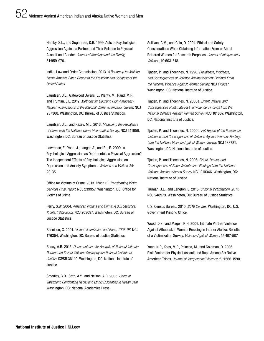Hamby, S.L., and Sugarman, D.B. 1999. Acts of Psychological Aggression Against a Partner and Their Relation to Physical Assault and Gender. *Journal of Marriage and the Family*, 61:959-970.

Indian Law and Order Commission. 2013. *A Roadmap for Making Native America Safer: Report to the President and Congress of the United States*.

Lauritsen, J.L., Gatewood Owens, J., Planty, M., Rand, M.R., and Truman, J.L. 2012. *Methods for Counting High-Frequency Repeat Victimizations in the National Crime Victimization Survey*. NCJ 237308. Washington, DC: Bureau of Justice Statistics.

Lauritsen, J.L., and Rezey, M.L. 2013. *Measuring the Prevalence of Crime with the National Crime Victimization Survey.* NCJ 241656. Washington, DC: Bureau of Justice Statistics.

Lawrence, E., Yoon, J., Langer, A., and Ro, E. 2009. Is Psychological Aggression as Detrimental as Physical Aggression? The Independent Effects of Psychological Aggression on Depression and Anxiety Symptoms. *Violence and Victims*, 24: 20-35.

Office for Victims of Crime. 2013. *Vision 21: Transforming Victim Services Final Report*. NCJ 239957. Washington, DC: Office for Victims of Crime.

Perry, S.W. 2004. *American Indians and Crime: A BJS Statistical Profile, 1992-2002*. NCJ 203097. Washington, DC: Bureau of Justice Statistics.

Rennison, C. 2001. *Violent Victimization and Race, 1993-98*. NCJ 176354. Washington, DC: Bureau of Justice Statistics.

Rosay, A.B. 2015. *Documentation for Analysis of National Intimate Partner and Sexual Violence Survey by the National Institute of Justice*. ICPSR 36140. Washington, DC: National Institute of Justice.

Smedley, B.D., Stith, A.Y., and Nelson, A.R. 2003. *Unequal Treatment: Confronting Racial and Ethnic Disparities in Health Care.*  Washington, DC: National Academies Press.

Sullivan, C.M., and Cain, D. 2004. Ethical and Safety Considerations When Obtaining Information From or About Battered Women for Research Purposes. *Journal of Interpersonal Violence*, 19:603-618.

Tjaden, P., and Thoennes, N. 1998. *Prevalence, Incidence, and Consequences of Violence Against Women: Findings From the National Violence Against Women Survey*. NCJ 172837. Washington, DC: National Institute of Justice.

Tjaden, P., and Thoennes, N. 2000a. *Extent, Nature, and Consequences of Intimate Partner Violence: Findings from the National Violence Against Women Survey*. NCJ 181867. Washington, DC: National Institute of Justice.

Tjaden, P., and Thoennes, N. 2000b. *Full Report of the Prevalence, Incidence, and Consequences of Violence Against Women: Findings from the National Violence Against Women Survey*. NCJ 183781. Washington, DC: National Institute of Justice.

Tjaden, P., and Thoennes, N. 2006. *Extent, Nature, and Consequences of Rape Victimization: Findings from the National Violence Against Women Survey*. NCJ 210346. Washington, DC: National Institute of Justice.

Truman, J.L., and Langton, L. 2015. *Criminal Victimization, 2014*. NCJ 248973. Washington, DC: Bureau of Justice Statistics.

U.S. Census Bureau. 2010. *2010 Census.* Washington, DC: U.S. Government Printing Office.

Wood, D.S., and Magen, R.H. 2009. Intimate Partner Violence Against Athabaskan Women Residing in Interior Alaska: Results of a Victimization Survey. *Violence Against Women*, 15:497-507.

Yuan, N.P., Koss, M.P., Polacca, M., and Goldman, D. 2006. Risk Factors for Physical Assault and Rape Among Six Native American Tribes. *Journal of Interpersonal Violence*, 21:1566-1590.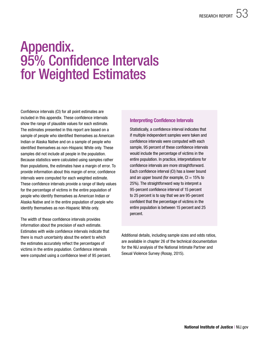# Appendix. 95% Confidence Intervals for Weighted Estimates

 These confidence intervals provide a range of likely values Confidence intervals (CI) for all point estimates are included in this appendix. These confidence intervals show the range of plausible values for each estimate. The estimates presented in this report are based on a sample of people who identified themselves as American Indian or Alaska Native and on a sample of people who identified themselves as non-Hispanic White only. These samples did not include all people in the population. Because statistics were calculated using samples rather than populations, the estimates have a margin of error. To provide information about this margin of error, confidence intervals were computed for each weighted estimate. for the percentage of victims in the entire population of people who identify themselves as American Indian or Alaska Native and in the entire population of people who identify themselves as non-Hispanic White only.

The width of these confidence intervals provides information about the precision of each estimate. Estimates with wide confidence intervals indicate that there is much uncertainty about the extent to which the estimates accurately reflect the percentages of victims in the entire population. Confidence intervals were computed using a confidence level of 95 percent.

#### Interpreting Confidence Intervals

Statistically, a confidence interval indicates that if multiple independent samples were taken and confidence intervals were computed with each sample, 95 percent of these confidence intervals would include the percentage of victims in the entire population. In practice, interpretations for confidence intervals are more straightforward. Each confidence interval (CI) has a lower bound and an upper bound (for example,  $CI = 15\%$  to 25%). The straightforward way to interpret a 95-percent confidence interval of 15 percent to 25 percent is to say that we are 95-percent confident that the percentage of victims in the entire population is between 15 percent and 25 percent.

Additional details, including sample sizes and odds ratios, are available in chapter 26 of the technical documentation for the NIJ analysis of the National Intimate Partner and Sexual Violence Survey (Rosay, 2015).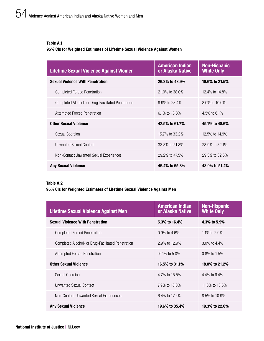#### Table A.1

#### 95% CIs for Weighted Estimates of Lifetime Sexual Violence Against Women

| <b>Lifetime Sexual Violence Against Women</b>      | <b>American Indian</b><br>or Alaska Native | <b>Non-Hispanic</b><br><b>White Only</b> |
|----------------------------------------------------|--------------------------------------------|------------------------------------------|
| <b>Sexual Violence With Penetration</b>            | 26.2% to 43.9%                             | 18.6% to 21.5%                           |
| Completed Forced Penetration                       | 21.0% to 38.0%                             | 12.4% to 14.8%                           |
| Completed Alcohol- or Drug-Facilitated Penetration | $9.9\%$ to 23.4%                           | $8.0\%$ to 10.0%                         |
| Attempted Forced Penetration                       | 6.1% to 18.3%                              | 4.5% to 6.1%                             |
| <b>Other Sexual Violence</b>                       | 42.5% to 61.7%                             | 45.1% to 48.6%                           |
| Sexual Coercion                                    | 15.7% to 33.2%                             | 12.5% to 14.9%                           |
| <b>Unwanted Sexual Contact</b>                     | 33.3% to 51.8%                             | 28.9% to 32.1%                           |
| Non-Contact Unwanted Sexual Experiences            | 29.2% to 47.5%                             | 29.3% to 32.6%                           |
| <b>Any Sexual Violence</b>                         | 46.4% to 65.8%                             | 48.0% to 51.4%                           |

#### Table A.2

#### 95% CIs for Weighted Estimates of Lifetime Sexual Violence Against Men

| <b>Lifetime Sexual Violence Against Men</b>        | <b>American Indian</b><br>or Alaska Native | <b>Non-Hispanic</b><br><b>White Only</b> |
|----------------------------------------------------|--------------------------------------------|------------------------------------------|
| <b>Sexual Violence With Penetration</b>            | 5.3% to 16.4%                              | 4.3% to 5.9%                             |
| <b>Completed Forced Penetration</b>                | $0.9\%$ to 4.6%                            | 1.1% to 2.0%                             |
| Completed Alcohol- or Drug-Facilitated Penetration | 2.9% to 12.9%                              | $3.0\%$ to 4.4%                          |
| <b>Attempted Forced Penetration</b>                | $-0.1\%$ to 5.0%                           | $0.8\%$ to 1.5%                          |
| <b>Other Sexual Violence</b>                       | 16.5% to 31.1%                             | 18.0% to 21.2%                           |
| Sexual Coercion                                    | 4.7% to 15.5%                              | 4.4% to 6.4%                             |
| Unwanted Sexual Contact                            | 7.9% to 18.0%                              | 11.0% to 13.6%                           |
| Non-Contact Unwanted Sexual Experiences            | 6.4% to 17.2%                              | 8.5% to 10.9%                            |
| <b>Any Sexual Violence</b>                         | 19.6% to 35.4%                             | 19.3% to 22.6%                           |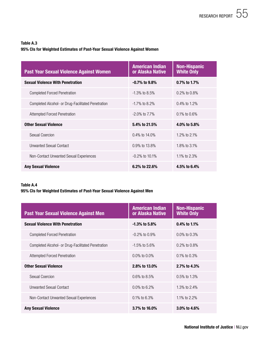# Table A.3 95% CIs for Weighted Estimates of Past-Year Sexual Violence Against Women

| <b>Past Year Sexual Violence Against Women</b>     | <b>American Indian</b><br>or Alaska Native | <b>Non-Hispanic</b><br><b>White Only</b> |
|----------------------------------------------------|--------------------------------------------|------------------------------------------|
| <b>Sexual Violence With Penetration</b>            | $-0.7\%$ to 9.8%                           | $0.7\%$ to 1.7%                          |
| <b>Completed Forced Penetration</b>                | $-1.3\%$ to 8.5%                           | $0.2\%$ to $0.8\%$                       |
| Completed Alcohol- or Drug-Facilitated Penetration | $-1.7\%$ to 8.2%                           | $0.4\%$ to 1.2%                          |
| <b>Attempted Forced Penetration</b>                | $-2.0\%$ to $7.7\%$                        | $0.1\%$ to $0.6\%$                       |
| <b>Other Sexual Violence</b>                       | 5.4% to 21.5%                              | 4.0% to 5.8%                             |
| Sexual Coercion                                    | $0.4\%$ to 14.0%                           | 1.2% to 2.1%                             |
| Unwanted Sexual Contact                            | $0.9\%$ to 13.8%                           | 1.8% to 3.1%                             |
| Non-Contact Unwanted Sexual Experiences            | $-0.2\%$ to 10.1%                          | 1.1% to 2.3%                             |
| <b>Any Sexual Violence</b>                         | 6.2% to 22.6%                              | 4.5% to 6.4%                             |

#### Table A.4

95% CIs for Weighted Estimates of Past-Year Sexual Violence Against Men

| <b>Past Year Sexual Violence Against Men</b>       | <b>American Indian</b><br>or Alaska Native | <b>Non-Hispanic</b><br><b>White Only</b> |
|----------------------------------------------------|--------------------------------------------|------------------------------------------|
| <b>Sexual Violence With Penetration</b>            | $-1.3\%$ to 5.8%                           | $0.4\%$ to 1.1%                          |
| <b>Completed Forced Penetration</b>                | $-0.2\%$ to 0.9%                           | $0.0\%$ to $0.3\%$                       |
| Completed Alcohol- or Drug-Facilitated Penetration | $-1.5\%$ to 5.6%                           | $0.2\%$ to $0.8\%$                       |
| Attempted Forced Penetration                       | $0.0\%$ to $0.0\%$                         | $0.1\%$ to $0.3\%$                       |
| <b>Other Sexual Violence</b>                       | 2.8% to 13.0%                              | 2.7% to 4.3%                             |
| Sexual Coercion                                    | 0.6% to 8.5%                               | 0.5% to 1.3%                             |
| Unwanted Sexual Contact                            | $0.0\%$ to 6.2%                            | 1.3% to 2.4%                             |
| Non-Contact Unwanted Sexual Experiences            | $0.1\%$ to 6.3%                            | 1.1% to 2.2%                             |
| <b>Any Sexual Violence</b>                         | 3.7% to 16.0%                              | 3.0% to 4.6%                             |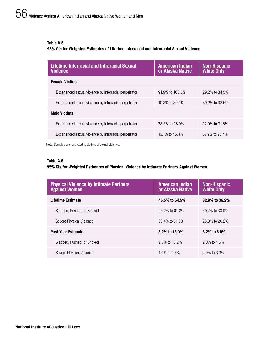#### Table A.5

#### 95% CIs for Weighted Estimates of Lifetime Interracial and Intraracial Sexual Violence

| <b>Lifetime Interracial and Intraracial Sexual</b><br><b>Violence</b> | <b>American Indian</b><br>or Alaska Native | <b>Non-Hispanic</b><br><b>White Only</b> |
|-----------------------------------------------------------------------|--------------------------------------------|------------------------------------------|
| <b>Female Victims</b>                                                 |                                            |                                          |
| Experienced sexual violence by interracial perpetrator                | 91.9% to 100.5%                            | 29.2% to 34.5%                           |
| Experienced sexual violence by intraracial perpetrator                | 10.8% to 30.4%                             | 89.2% to 92.5%                           |
| <b>Male Victims</b>                                                   |                                            |                                          |
| Experienced sexual violence by interracial perpetrator                | 78.3% to 98.9%                             | 22.9% to 31.6%                           |
| Experienced sexual violence by intraracial perpetrator                | 13.1% to 45.4%                             | 87.9% to 93.4%                           |

Note: Samples are restricted to victims of sexual violence.

#### Table A.6

#### 95% CIs for Weighted Estimates of Physical Violence by Intimate Partners Against Women

| <b>Physical Violence by Intimate Partners</b><br><b>Against Women</b> | <b>American Indian</b><br>or Alaska Native | <b>Non-Hispanic</b><br><b>White Only</b> |
|-----------------------------------------------------------------------|--------------------------------------------|------------------------------------------|
| Lifetime Estimate                                                     | 46.5% to 64.5%                             | 32.9% to 36.2%                           |
| Slapped, Pushed, or Shoved                                            | 43.2% to 61.2%                             | 30.7% to 33.9%                           |
| Severe Physical Violence                                              | 33.4% to 51.3%                             | 23.3% to 26.2%                           |
| <b>Past-Year Estimate</b>                                             | 3.2% to 13.9%                              | $3.2\%$ to 5.0%                          |
| Slapped, Pushed, or Shoved                                            | 2.8% to 13.2%                              | 2.8% to 4.5%                             |
| Severe Physical Violence                                              | 1.0% to 4.6%                               | $2.0\%$ to 3.3%                          |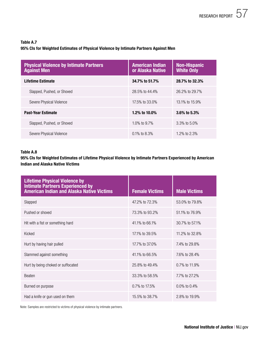# Table A.7 95% CIs for Weighted Estimates of Physical Violence by Intimate Partners Against Men

| <b>Physical Violence by Intimate Partners</b><br><b>Against Men</b> | <b>American Indian</b><br>or Alaska Native | <b>Non-Hispanic</b><br><b>White Only</b> |
|---------------------------------------------------------------------|--------------------------------------------|------------------------------------------|
| <b>Lifetime Estimate</b>                                            | 34.7% to 51.7%                             | 28.7% to 32.3%                           |
| Slapped, Pushed, or Shoved                                          | 28.5% to 44.4%                             | 26.2% to 29.7%                           |
| Severe Physical Violence                                            | 17.5% to 33.0%                             | 13.1% to 15.9%                           |
| <b>Past-Year Estimate</b>                                           | 1.2% to 10.0%                              | 3.6% to 5.3%                             |
| Slapped, Pushed, or Shoved                                          | 1.0% to 9.7%                               | $3.3\%$ to 5.0%                          |
| Severe Physical Violence                                            | $0.1\%$ to 8.3%                            | 1.2% to 2.3%                             |

### Table A.8

95% CIs for Weighted Estimates of Lifetime Physical Violence by Intimate Partners Experienced by American Indian and Alaska Native Victims

| <b>Lifetime Physical Violence by</b><br><b>Intimate Partners Experienced by</b><br><b>American Indian and Alaska Native Victims</b> | <b>Female Victims</b> | <b>Male Victims</b> |
|-------------------------------------------------------------------------------------------------------------------------------------|-----------------------|---------------------|
| Slapped                                                                                                                             | 47.2% to 72.3%        | 53.0% to 79.8%      |
| Pushed or shoved                                                                                                                    | 73.3% to 93.2%        | 51.1% to 76.9%      |
| Hit with a fist or something hard                                                                                                   | 41.1% to 66.1%        | 30.7% to 57.1%      |
| Kicked                                                                                                                              | 17.1% to 39.5%        | 11.2% to 32.8%      |
| Hurt by having hair pulled                                                                                                          | 17.7% to 37.0%        | 7.4% to 29.8%       |
| Slammed against something                                                                                                           | 41.1% to 66.5%        | 7.6% to 28.4%       |
| Hurt by being choked or suffocated                                                                                                  | 25.8% to 49.4%        | 0.7% to 11.9%       |
| <b>Beaten</b>                                                                                                                       | 33.3% to 58.5%        | 7.7% to 27.2%       |
| Burned on purpose                                                                                                                   | 0.7% to 17.5%         | $0.0\%$ to $0.4\%$  |
| Had a knife or gun used on them                                                                                                     | 15.5% to 38.7%        | 2.8% to 19.9%       |

Note: Samples are restricted to victims of physical violence by intimate partners.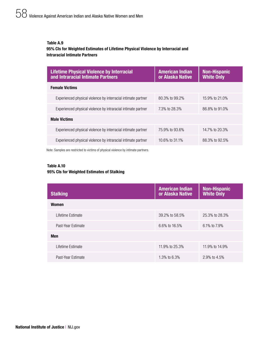#### Table A.9

95% CIs for Weighted Estimates of Lifetime Physical Violence by Interracial and Intraracial Intimate Partners

| <b>Lifetime Physical Violence by Interracial</b><br>and Intraracial Intimate Partners | <b>American Indian</b><br>or Alaska Native | <b>Non-Hispanic</b><br><b>White Only</b> |
|---------------------------------------------------------------------------------------|--------------------------------------------|------------------------------------------|
| <b>Female Victims</b>                                                                 |                                            |                                          |
| Experienced physical violence by interracial intimate partner                         | 80.3% to 99.2%                             | 15.9% to 21.0%                           |
| Experienced physical violence by intraracial intimate partner                         | 7.3% to 28.3%                              | 86.8% to 91.0%                           |
| <b>Male Victims</b>                                                                   |                                            |                                          |
| Experienced physical violence by interracial intimate partner                         | 75.9% to 93.6%                             | 14.7% to 20.3%                           |
| Experienced physical violence by intraracial intimate partner                         | 10.6% to 31.1%                             | 88.3% to 92.5%                           |

Note: Samples are restricted to victims of physical violence by intimate partners.

#### Table A.10

#### 95% CIs for Weighted Estimates of Stalking

| <b>Stalking</b>    | <b>American Indian</b><br>or Alaska Native | <b>Non-Hispanic</b><br><b>White Only</b> |
|--------------------|--------------------------------------------|------------------------------------------|
| <b>Women</b>       |                                            |                                          |
| Lifetime Estimate  | 39.2% to 58.5%                             | 25.3% to 28.3%                           |
| Past-Year Estimate | 6.6% to 16.5%                              | 6.1% to 7.9%                             |
| Men                |                                            |                                          |
| Lifetime Estimate  | 11.9% to 25.3%                             | 11.9% to 14.9%                           |
| Past-Year Estimate | 1.3% to 6.3%                               | 2.9% to 4.5%                             |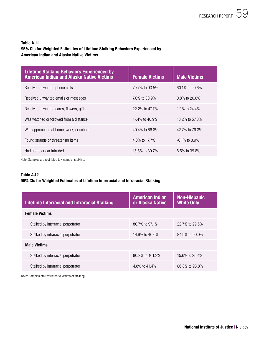#### Table A.11 95% CIs for Weighted Estimates of Lifetime Stalking Behaviors Experienced by American Indian and Alaska Native Victims

| <b>Lifetime Stalking Behaviors Experienced by</b><br><b>American Indian and Alaska Native Victims</b> | <b>Female Victims</b> | <b>Male Victims</b> |
|-------------------------------------------------------------------------------------------------------|-----------------------|---------------------|
| Received unwanted phone calls                                                                         | 70.7% to 93.5%        | 60.1% to 90.6%      |
| Received unwanted emails or messages                                                                  | 7.0% to 30.9%         | $0.8\%$ to 26.6%    |
| Received unwanted cards, flowers, gifts                                                               | 22.2% to 47.7%        | 1.0% to 24.4%       |
| Was watched or followed from a distance                                                               | 17.4% to 40.9%        | 18.2% to 57.0%      |
| Was approached at home, work, or school                                                               | 40.4% to 66.8%        | 42.7% to 79.3%      |
| Found strange or threatening items                                                                    | 4.0% to 17.7%         | $-0.1\%$ to 8.9%    |
| Had home or car intruded                                                                              | 15.5% to 39.7%        | 6.5% to 39.8%       |

Note: Samples are restricted to victims of stalking.

#### Table A.12

# 95% CIs for Weighted Estimates of Lifetime Interracial and Intraracial Stalking

| Lifetime Interracial and Intraracial Stalking | <b>American Indian</b><br>or Alaska Native | <b>Non-Hispanic</b><br><b>White Only</b> |
|-----------------------------------------------|--------------------------------------------|------------------------------------------|
| <b>Female Victims</b>                         |                                            |                                          |
| Stalked by interracial perpetrator            | 80.7% to 97.1%                             | 22.7% to 29.6%                           |
| Stalked by intraracial perpetrator            | 14.9% to 46.0%                             | 84.9% to 90.0%                           |
| <b>Male Victims</b>                           |                                            |                                          |
| Stalked by interracial perpetrator            | 80.2% to 101.3%                            | 15.6% to 25.4%                           |
| Stalked by intraracial perpetrator            | 4.8% to 41.4%                              | 86.8% to 93.8%                           |

Note: Samples are restricted to victims of stalking.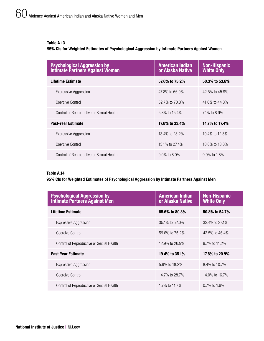#### Table A.13

95% CIs for Weighted Estimates of Psychological Aggression by Intimate Partners Against Women

| <b>Psychological Aggression by</b><br><b>Intimate Partners Against Women</b> | <b>American Indian</b><br>or Alaska Native | <b>Non-Hispanic</b><br><b>White Only</b> |
|------------------------------------------------------------------------------|--------------------------------------------|------------------------------------------|
| Lifetime Estimate                                                            | 57.6% to 75.2%                             | 50.3% to 53.6%                           |
| Expressive Aggression                                                        | 47.8% to 66.0%                             | 42.5% to 45.9%                           |
| Coercive Control                                                             | 52.7% to 70.3%                             | 41.0% to 44.3%                           |
| Control of Reproductive or Sexual Health                                     | 5.8% to 15.4%                              | 7.1% to 8.9%                             |
| <b>Past-Year Estimate</b>                                                    | 17.6% to 33.4%                             | 14.7% to 17.4%                           |
| <b>Expressive Aggression</b>                                                 | 13.4% to 28.2%                             | 10.4% to 12.8%                           |
| Coercive Control                                                             | 13.1% to 27.4%                             | 10.6% to 13.0%                           |
| Control of Reproductive or Sexual Health                                     | $0.0\%$ to 8.0%                            | $0.9\%$ to 1.8%                          |

#### Table A.14

95% CIs for Weighted Estimates of Psychological Aggression by Intimate Partners Against Men

| <b>Psychological Aggression by</b><br><b>Intimate Partners Against Men</b> | <b>American Indian</b><br>or Alaska Native | <b>Non-Hispanic</b><br><b>White Only</b> |
|----------------------------------------------------------------------------|--------------------------------------------|------------------------------------------|
| Lifetime Estimate                                                          | 65.6% to 80.3%                             | 50.8% to 54.7%                           |
| <b>Expressive Aggression</b>                                               | 35.1% to 52.0%                             | 33.4% to 37.1%                           |
| Coercive Control                                                           | 59.6% to 75.2%                             | 42.5% to 46.4%                           |
| Control of Reproductive or Sexual Health                                   | 12.9% to 26.9%                             | 8.7% to 11.2%                            |
| <b>Past-Year Estimate</b>                                                  | 19.4% to 35.1%                             | 17.8% to 20.9%                           |
| <b>Expressive Aggression</b>                                               | 5.9% to 18.2%                              | 8.4% to 10.7%                            |
| Coercive Control                                                           | 14.7% to 28.7%                             | 14.0% to 16.7%                           |
| Control of Reproductive or Sexual Health                                   | 1.7% to 11.7%                              | $0.7\%$ to 1.6%                          |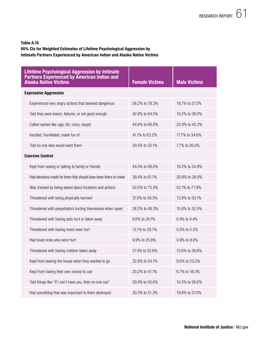# Table A.15 95% CIs for Weighted Estimates of Lifetime Psychological Aggression by Intimate Partners Experienced by American Indian and Alaska Native Victims

| <b>Lifetime Psychological Aggression by Intimate</b><br><b>Partners Experienced by American Indian and</b><br><b>Alaska Native Victims</b> | <b>Female Victims</b> | <b>Male Victims</b> |
|--------------------------------------------------------------------------------------------------------------------------------------------|-----------------------|---------------------|
| <b>Expressive Aggression</b>                                                                                                               |                       |                     |
| Experienced very angry actions that seemed dangerous                                                                                       | 58.2% to 78.3%        | 18.7% to 37.2%      |
| Told they were losers, failures, or not good enough                                                                                        | 42.8% to 64.5%        | 19.2% to 38.0%      |
| Called names like ugly, fat, crazy, stupid                                                                                                 | 44.8% to 66.8%        | 25.9% to 45.2%      |
| Insulted, humiliated, made fun of                                                                                                          | 41.1% to 63.2%        | 17.7% to 34.6%      |
| Told no one else would want them                                                                                                           | 29.5% to 50.1%        | 7.7% to 20.0%       |
| <b>Coercive Control</b>                                                                                                                    |                       |                     |
| Kept from seeing or talking to family or friends                                                                                           | 44.5% to 66.0%        | 18.2% to 34.9%      |
| Had decisions made for them that should have been theirs to make                                                                           | 39.4% to 61.1%        | 20.8% to 38.9%      |
| Was tracked by being asked about locations and actions                                                                                     | 52.0% to 73.3%        | 52.1% to 71.9%      |
| Threatened with being physically harmed                                                                                                    | 37.0% to 58.5%        | 13.9% to 30.1%      |
| Threatened with perpetrators hurting themselves when upset                                                                                 | 28.2% to 48.3%        | 15.8% to 32.5%      |
| Threatened with having pets hurt or taken away                                                                                             | 9.6% to 24.1%         | 0.4% to 4.4%        |
| Threatened with having loved ones hurt                                                                                                     | 13.1% to 29.7%        | 0.0% to 5.2%        |
| Had loved ones who were hurt                                                                                                               | 9.9% to 25.8%         | 0.9% to 8.8%        |
| Threatened with having children taken away                                                                                                 | 27.4% to 52.6%        | 13.6% to 36.6%      |
| Kept from leaving the house when they wanted to go                                                                                         | 32.8% to 54.1%        | 9.0% to 23.2%       |
| Kept from having their own money to use                                                                                                    | 20.2% to 41.1%        | 6.7% to 18.3%       |
| Told things like "If I can't have you, then no one can"                                                                                    | 29.4% to 50.6%        | 10.3% to 26.6%      |
| Had something that was important to them destroyed                                                                                         | 30.3% to 51.3%        | 19.8% to 37.0%      |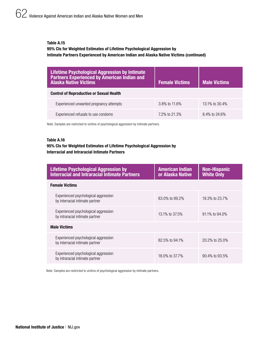### Table A.15

## 95% CIs for Weighted Estimates of Lifetime Psychological Aggression by Intimate Partners Experienced by American Indian and Alaska Native Victims (continued)

| Lifetime Psychological Aggression by Intimate<br>Partners Experienced by American Indian and<br><b>Alaska Native Victims</b> | <b>Female Victims</b> | <b>Male Victims</b> |
|------------------------------------------------------------------------------------------------------------------------------|-----------------------|---------------------|
| <b>Control of Reproductive or Sexual Health</b>                                                                              |                       |                     |
| Experienced unwanted pregnancy attempts                                                                                      | 3.8% to 11.6%         | 13.1% to 30.4%      |
| Experienced refusals to use condoms                                                                                          | 7.2% to 21.3%         | 8.4% to 24.6%       |

Note: Samples are restricted to victims of psychological aggression by intimate partners.

#### Table A.16

### 95% CIs for Weighted Estimates of Lifetime Psychological Aggression by Interracial and Intraracial Intimate Partners

| Lifetime Psychological Aggression by<br><b>Interracial and Intraracial Intimate Partners</b> | <b>American Indian</b><br>or Alaska Native | <b>Non-Hispanic</b><br><b>White Only</b> |
|----------------------------------------------------------------------------------------------|--------------------------------------------|------------------------------------------|
| <b>Female Victims</b>                                                                        |                                            |                                          |
| Experienced psychological aggression<br>by interracial intimate partner                      | 83.0% to 99.2%                             | 19.3% to 23.7%                           |
| Experienced psychological aggression<br>by intraracial intimate partner                      | 13.1% to 37.5%                             | 91.1% to 94.0%                           |
| <b>Male Victims</b>                                                                          |                                            |                                          |
| Experienced psychological aggression<br>by interracial intimate partner                      | 82.5% to 94.1%                             | 20.2% to 25.0%                           |
| Experienced psychological aggression<br>by intraracial intimate partner                      | 18.0% to 37.7%                             | $90.4\%$ to $93.5\%$                     |

Note: Samples are restricted to victims of psychological aggression by intimate partners.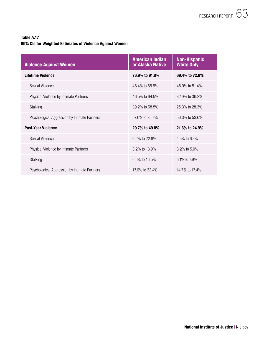# Table A.17 95% CIs for Weighted Estimates of Violence Against Women

| <b>Violence Against Women</b>                 | <b>American Indian</b><br>or Alaska Native | <b>Non-Hispanic</b><br><b>White Only</b> |
|-----------------------------------------------|--------------------------------------------|------------------------------------------|
| <b>Lifetime Violence</b>                      | 76.9% to 91.8%                             | 69.4% to 72.6%                           |
| Sexual Violence                               | 46.4% to 65.8%                             | 48.0% to 51.4%                           |
| Physical Violence by Intimate Partners        | 46.5% to 64.5%                             | 32.9% to 36.2%                           |
| Stalking                                      | 39.2% to 58.5%                             | 25.3% to 28.3%                           |
| Psychological Aggression by Intimate Partners | 57.6% to 75.2%                             | 50.3% to 53.6%                           |
| <b>Past-Year Violence</b>                     | 29.7% to 49.8%                             | 21.6% to 24.9%                           |
| Sexual Violence                               | 6.2% to 22.6%                              | 4.5% to 6.4%                             |
| Physical Violence by Intimate Partners        | 3.2% to 13.9%                              | 3.2% to 5.0%                             |
| Stalking                                      | 6.6% to 16.5%                              | 6.1% to 7.9%                             |
| Psychological Aggression by Intimate Partners | 17.6% to 33.4%                             | 14.7% to 17.4%                           |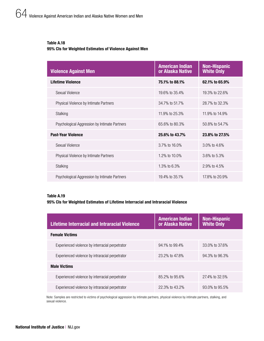### Table A.18

#### 95% CIs for Weighted Estimates of Violence Against Men

| <b>Violence Against Men</b>                   | <b>American Indian</b><br>or Alaska Native | <b>Non-Hispanic</b><br><b>White Only</b> |
|-----------------------------------------------|--------------------------------------------|------------------------------------------|
| <b>Lifetime Violence</b>                      | 75.1% to 88.1%                             | 62.1% to 65.9%                           |
| Sexual Violence                               | 19.6% to 35.4%                             | 19.3% to 22.6%                           |
| Physical Violence by Intimate Partners        | 34.7% to 51.7%                             | 28.7% to 32.3%                           |
| Stalking                                      | 11.9% to 25.3%                             | 11.9% to 14.9%                           |
| Psychological Aggression by Intimate Partners | 65.6% to 80.3%                             | 50.8% to 54.7%                           |
| <b>Past-Year Violence</b>                     | 25.6% to 43.7%                             | 23.8% to 27.5%                           |
| Sexual Violence                               | 3.7% to 16.0%                              | $3.0\%$ to 4.6%                          |
| Physical Violence by Intimate Partners        | 1.2% to 10.0%                              | 3.6% to 5.3%                             |
| Stalking                                      | 1.3% to 6.3%                               | 2.9% to 4.5%                             |
| Psychological Aggression by Intimate Partners | 19.4% to 35.1%                             | 17.8% to 20.9%                           |

#### Table A.19

### 95% CIs for Weighted Estimates of Lifetime Interracial and Intraracial Violence

| <b>Lifetime Interracial and Intraracial Violence</b> | <b>American Indian</b><br>or Alaska Native | <b>Non-Hispanic</b><br><b>White Only</b> |
|------------------------------------------------------|--------------------------------------------|------------------------------------------|
| <b>Female Victims</b>                                |                                            |                                          |
| Experienced violence by interracial perpetrator      | 94.1% to 99.4%                             | 33.0% to 37.6%                           |
| Experienced violence by intraracial perpetrator      | 23.2% to 47.8%                             | 94.3% to 96.3%                           |
| <b>Male Victims</b>                                  |                                            |                                          |
| Experienced violence by interracial perpetrator      | 85.2% to 95.6%                             | 27.4% to 32.5%                           |
| Experienced violence by intraracial perpetrator      | 22.3% to 43.2%                             | $93.0\%$ to $95.5\%$                     |

Note: Samples are restricted to victims of psychological aggression by intimate partners, physical violence by intimate partners, stalking, and sexual violence.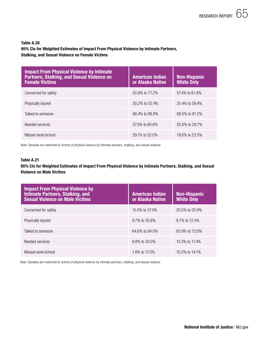## Table A.20 95% CIs for Weighted Estimates of Impact From Physical Violence by Intimate Partners, Stalking, and Sexual Violence on Female Victims

| <b>Impact From Physical Violence by Intimate</b><br><b>Partners, Stalking, and Sexual Violence on</b><br><b>Female Victims</b> | <b>American Indian</b><br>or Alaska Native | <b>Non-Hispanic</b><br><b>White Only</b> |
|--------------------------------------------------------------------------------------------------------------------------------|--------------------------------------------|------------------------------------------|
| Concerned for safety                                                                                                           | 55.8% to 77.2%                             | 57.4% to 61.8%                           |
| Physically injured                                                                                                             | 30.2% to 52.4%                             | 25.4% to 29.4%                           |
| Talked to someone                                                                                                              | 88.4% to 96.9%                             | 88.5% to 91.2%                           |
| Needed services                                                                                                                | 37.5% to 60.6%                             | 25.6% to 29.7%                           |
| Missed work/school                                                                                                             | 29.1% to 52.0%                             | 19.6% to 23.5%                           |

Note: Samples are restricted to victims of physical violence by intimate partners, stalking, and sexual violence.

### Table A.21

### 95% CIs for Weighted Estimates of Impact From Physical Violence by Intimate Partners, Stalking, and Sexual Violence on Male Victims

| <b>Impact From Physical Violence by</b><br><b>Intimate Partners, Stalking, and</b><br><b>Sexual Violence on Male Victims</b> | <b>American Indian</b><br>or Alaska Native | <b>Non-Hispanic</b><br><b>White Only</b> |
|------------------------------------------------------------------------------------------------------------------------------|--------------------------------------------|------------------------------------------|
| Concerned for safety                                                                                                         | 15.0% to 37.0%                             | 20.5% to 25.9%                           |
| Physically injured                                                                                                           | 9.7% to 30.8%                              | 8.7% to 12.4%                            |
| Talked to someone                                                                                                            | 64.6% to 84.0%                             | 65.9% to 72.0%                           |
| Needed services                                                                                                              | $9.8\%$ to $30.0\%$                        | 13.3% to 17.4%                           |
| Missed work/school                                                                                                           | 1.8% to 17.5%                              | 10.2% to 14.1%                           |

Note: Samples are restricted to victims of physical violence by intimate partners, stalking, and sexual violence.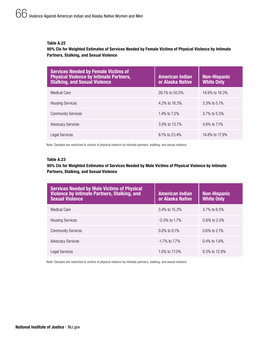### Table A.22

95% CIs for Weighted Estimates of Services Needed by Female Victims of Physical Violence by Intimate Partners, Stalking, and Sexual Violence

| <b>Services Needed by Female Victims of</b><br><b>Physical Violence by Intimate Partners,</b><br><b>Stalking, and Sexual Violence</b> | <b>American Indian</b><br>or Alaska Native | <b>Non-Hispanic</b><br><b>White Only</b> |
|---------------------------------------------------------------------------------------------------------------------------------------|--------------------------------------------|------------------------------------------|
| <b>Medical Care</b>                                                                                                                   | 26.1% to 50.0%                             | 14.9% to 18.3%                           |
| <b>Housing Services</b>                                                                                                               | 4.2% to 18.3%                              | $3.3\%$ to 5.1%                          |
| <b>Community Services</b>                                                                                                             | 1.4% to 7.2%                               | 3.7% to 5.5%                             |
| <b>Advocacy Services</b>                                                                                                              | 3.9% to 13.7%                              | 4.8% to 7.1%                             |
| Legal Services                                                                                                                        | 8.1% to 23.4%                              | 14.8% to 17.9%                           |

Note: Samples are restricted to victims of physical violence by intimate partners, stalking, and sexual violence.

### Table A.23

### 95% CIs for Weighted Estimates of Services Needed by Male Victims of Physical Violence by Intimate Partners, Stalking, and Sexual Violence

| <b>Services Needed by Male Victims of Physical</b><br>Violence by Intimate Partners, Stalking, and<br><b>Sexual Violence</b> | <b>American Indian</b><br>or Alaska Native | <b>Non-Hispanic</b><br><b>White Only</b> |
|------------------------------------------------------------------------------------------------------------------------------|--------------------------------------------|------------------------------------------|
| <b>Medical Care</b>                                                                                                          | 3.4% to 15.2%                              | $3.7\%$ to 6.5%                          |
| <b>Housing Services</b>                                                                                                      | $-0.3\%$ to 1.7%                           | $0.6\%$ to 2.0%                          |
| <b>Community Services</b>                                                                                                    | $0.0\%$ to 0.1%                            | $0.6\%$ to 2.1%                          |
| <b>Advocacy Services</b>                                                                                                     | $-1.7\%$ to 7.7%                           | $0.4\%$ to 1.6%                          |
| <b>Legal Services</b>                                                                                                        | 1.0% to 17.0%                              | 9.3% to 12.8%                            |

Note: Samples are restricted to victims of physical violence by intimate partners, stalking, and sexual violence.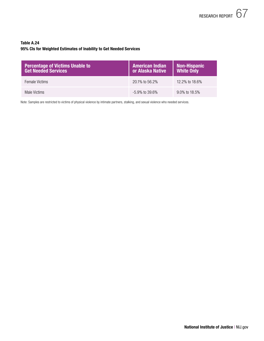# Table A.24 95% CIs for Weighted Estimates of Inab ility to Get Needed Services

| <b>Percentage of Victims Unable to</b><br><b>Get Needed Services</b> | <b>American Indian</b><br>or Alaska Native | <b>Non-Hispanic</b><br><b>White Only</b> |
|----------------------------------------------------------------------|--------------------------------------------|------------------------------------------|
| Female Victims                                                       | 20.1% to 56.2%                             | 12.2% to 18.6%                           |
| Male Victims                                                         | $-5.9\%$ to 39.6%                          | $9.0\%$ to 18.5%                         |

Note: Samples are restricted to victims of physical violence by intimate partners, stalking, and sexual violence who needed services.